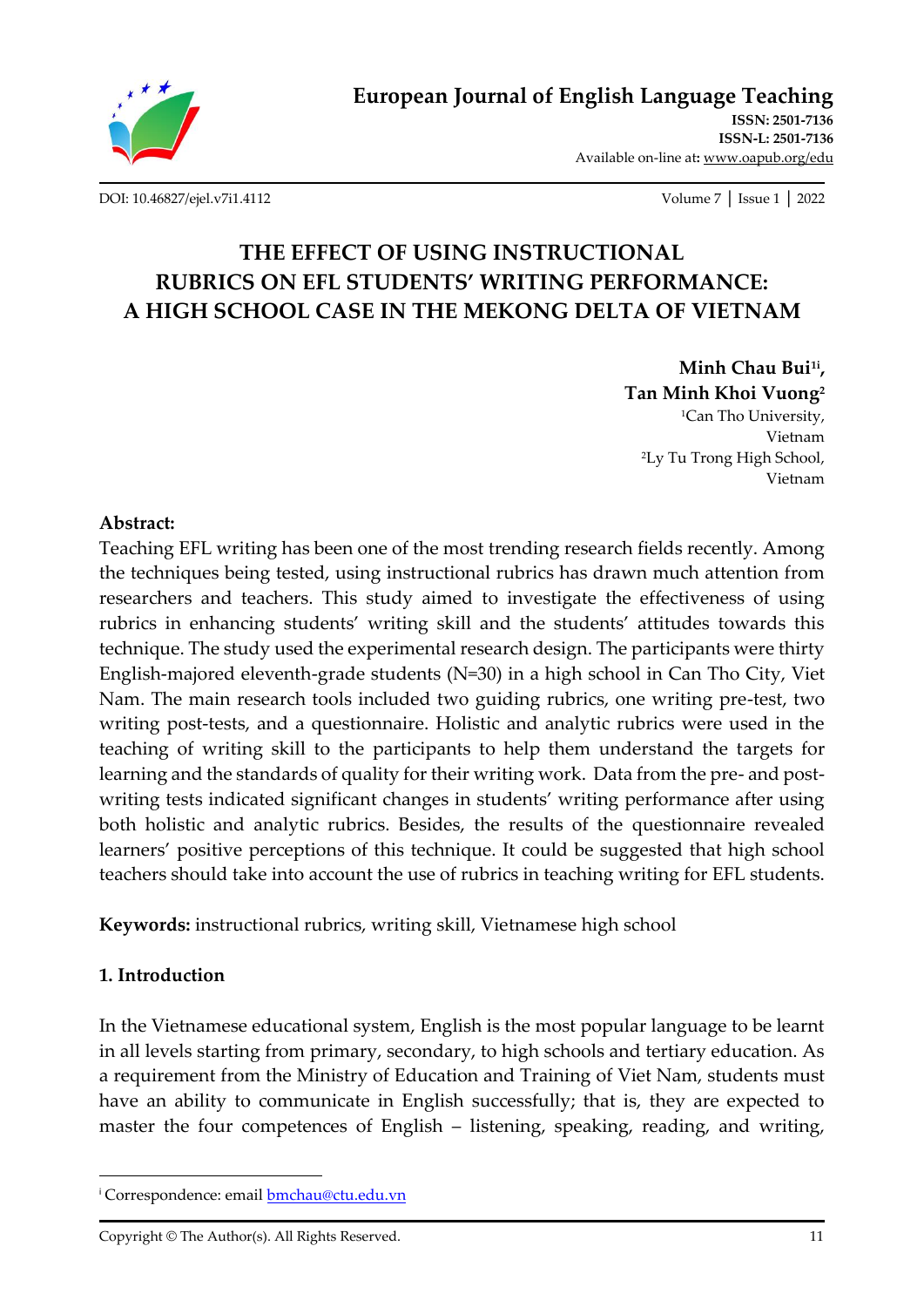

[DOI: 10.46827/ejel.v7i1.4112](http://dx.doi.org/10.46827/ejel.v7i1.4112) Volume 7 │ Issue 1 │ 2022

# **THE EFFECT OF USING INSTRUCTIONAL RUBRICS ON EFL STUDENTS' WRITING PERFORMANCE: A HIGH SCHOOL CASE IN THE MEKONG DELTA OF VIETNAM**

**Minh Chau Bui1i , Tan Minh Khoi Vuong<sup>2</sup>** <sup>1</sup>Can Tho University, Vietnam <sup>2</sup>Ly Tu Trong High School, Vietnam

#### **Abstract:**

Teaching EFL writing has been one of the most trending research fields recently. Among the techniques being tested, using instructional rubrics has drawn much attention from researchers and teachers. This study aimed to investigate the effectiveness of using rubrics in enhancing students' writing skill and the students' attitudes towards this technique. The study used the experimental research design. The participants were thirty English-majored eleventh-grade students (N=30) in a high school in Can Tho City, Viet Nam. The main research tools included two guiding rubrics, one writing pre-test, two writing post-tests, and a questionnaire. Holistic and analytic rubrics were used in the teaching of writing skill to the participants to help them understand the targets for learning and the standards of quality for their writing work. Data from the pre- and postwriting tests indicated significant changes in students' writing performance after using both holistic and analytic rubrics. Besides, the results of the questionnaire revealed learners' positive perceptions of this technique. It could be suggested that high school teachers should take into account the use of rubrics in teaching writing for EFL students.

**Keywords:** instructional rubrics, writing skill, Vietnamese high school

#### **1. Introduction**

In the Vietnamese educational system, English is the most popular language to be learnt in all levels starting from primary, secondary, to high schools and tertiary education. As a requirement from the Ministry of Education and Training of Viet Nam, students must have an ability to communicate in English successfully; that is, they are expected to master the four competences of English – listening, speaking, reading, and writing,

<sup>&</sup>lt;sup>i</sup> Correspondence: email **bmchau@ctu.edu.vn**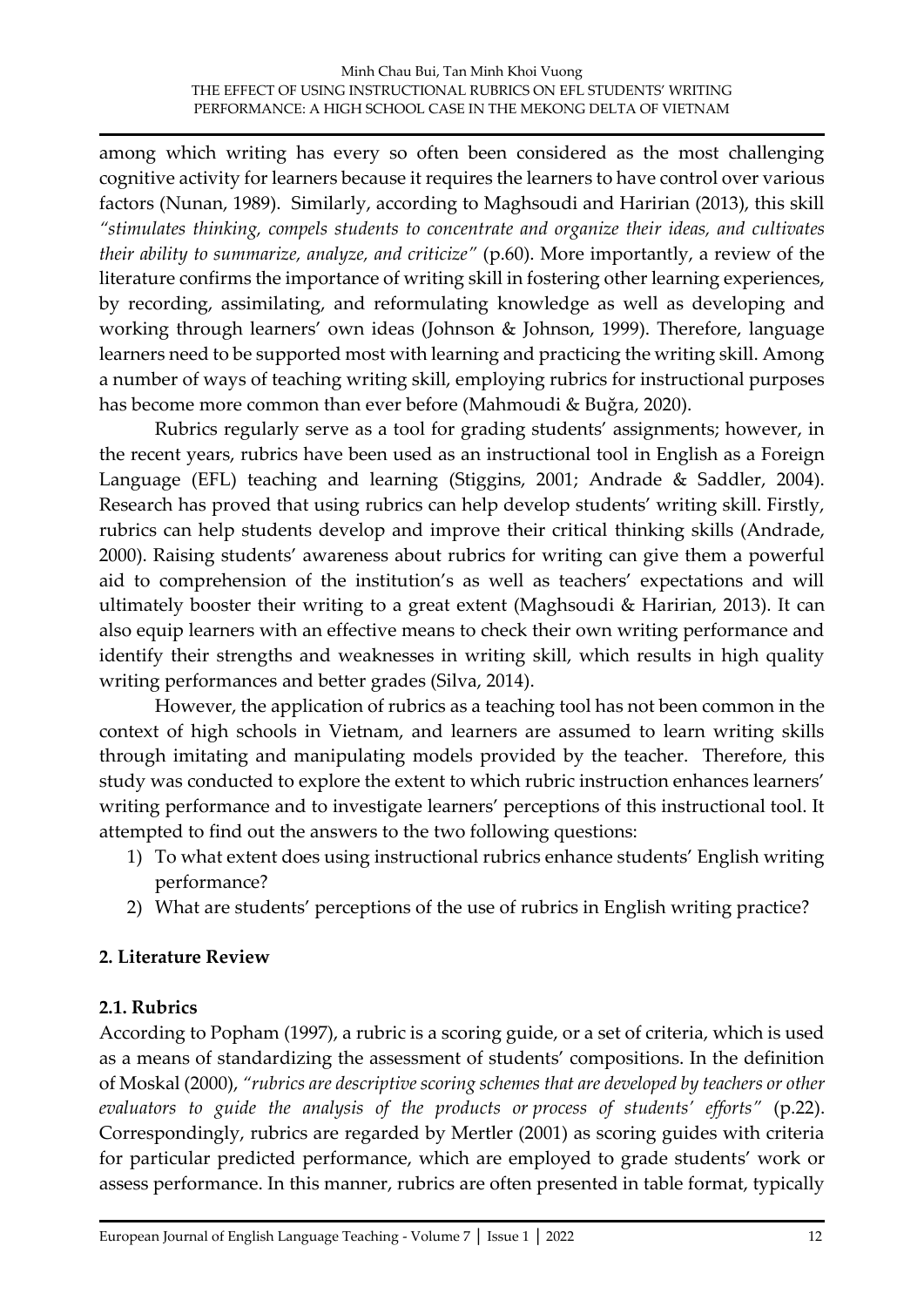among which writing has every so often been considered as the most challenging cognitive activity for learners because it requires the learners to have control over various factors (Nunan, 1989). Similarly, according to Maghsoudi and Haririan (2013), this skill *"stimulates thinking, compels students to concentrate and organize their ideas, and cultivates their ability to summarize, analyze, and criticize"* (p.60). More importantly, a review of the literature confirms the importance of writing skill in fostering other learning experiences, by recording, assimilating, and reformulating knowledge as well as developing and working through learners' own ideas (Johnson & Johnson, 1999). Therefore, language learners need to be supported most with learning and practicing the writing skill. Among a number of ways of teaching writing skill, employing rubrics for instructional purposes has become more common than ever before (Mahmoudi & Buğra, 2020).

Rubrics regularly serve as a tool for grading students' assignments; however, in the recent years, rubrics have been used as an instructional tool in English as a Foreign Language (EFL) teaching and learning (Stiggins, 2001; Andrade & Saddler, 2004). Research has proved that using rubrics can help develop students' writing skill. Firstly, rubrics can help students develop and improve their critical thinking skills (Andrade, 2000). Raising students' awareness about rubrics for writing can give them a powerful aid to comprehension of the institution's as well as teachers' expectations and will ultimately booster their writing to a great extent (Maghsoudi & Haririan, 2013). It can also equip learners with an effective means to check their own writing performance and identify their strengths and weaknesses in writing skill, which results in high quality writing performances and better grades (Silva, 2014).

However, the application of rubrics as a teaching tool has not been common in the context of high schools in Vietnam, and learners are assumed to learn writing skills through imitating and manipulating models provided by the teacher. Therefore, this study was conducted to explore the extent to which rubric instruction enhances learners' writing performance and to investigate learners' perceptions of this instructional tool. It attempted to find out the answers to the two following questions:

- 1) To what extent does using instructional rubrics enhance students' English writing performance?
- 2) What are students' perceptions of the use of rubrics in English writing practice?

## **2. Literature Review**

## **2.1. Rubrics**

According to Popham (1997), a rubric is a scoring guide, or a set of criteria, which is used as a means of standardizing the assessment of students' compositions. In the definition of Moskal (2000), *"rubrics are descriptive scoring schemes that are developed by teachers or other evaluators to guide the analysis of the products or process of students' efforts"* (p.22). Correspondingly, rubrics are regarded by Mertler (2001) as scoring guides with criteria for particular predicted performance, which are employed to grade students' work or assess performance. In this manner, rubrics are often presented in table format, typically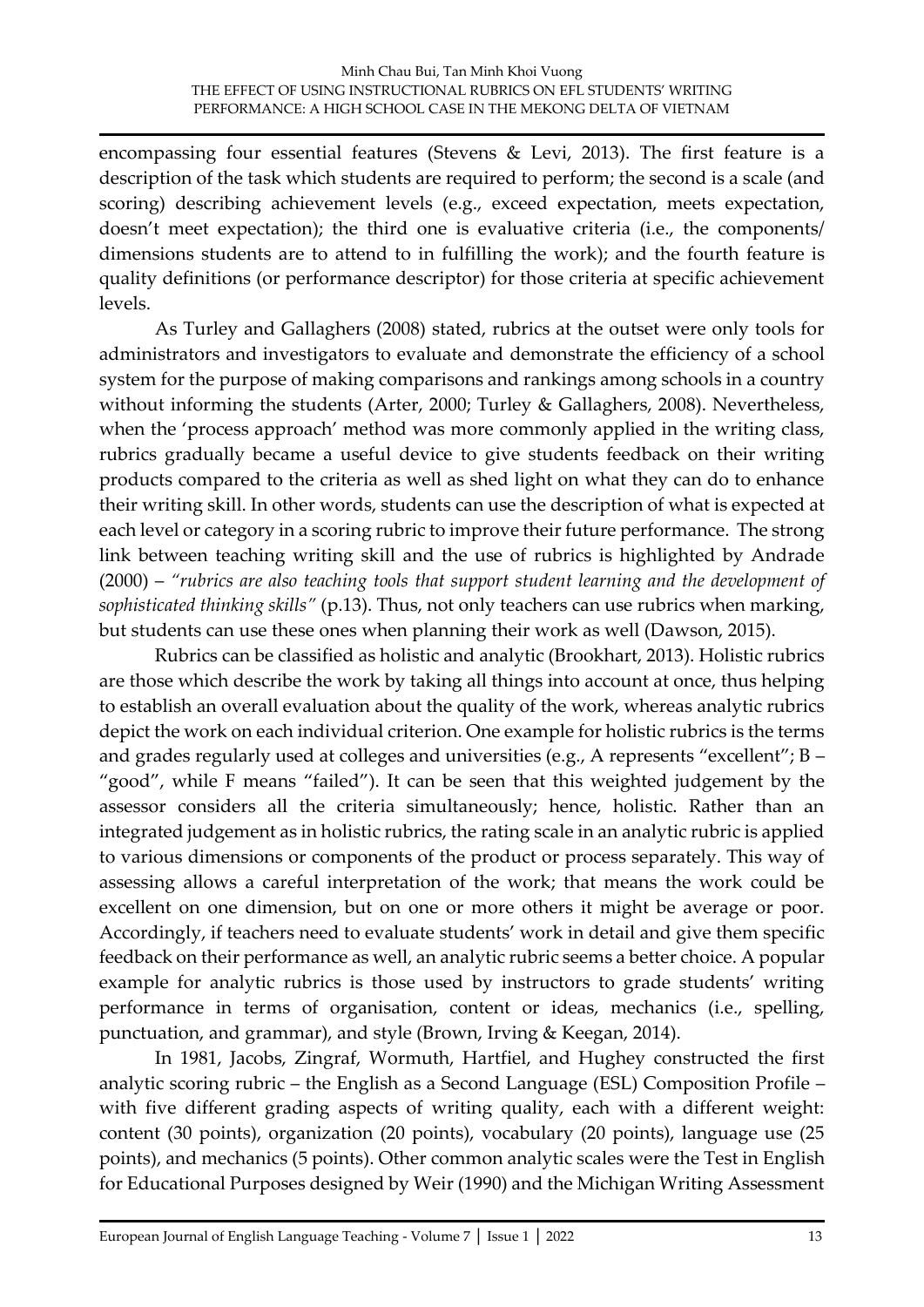encompassing four essential features (Stevens & Levi, 2013). The first feature is a description of the task which students are required to perform; the second is a scale (and scoring) describing achievement levels (e.g., exceed expectation, meets expectation, doesn't meet expectation); the third one is evaluative criteria (i.e., the components/ dimensions students are to attend to in fulfilling the work); and the fourth feature is quality definitions (or performance descriptor) for those criteria at specific achievement levels.

As Turley and Gallaghers (2008) stated, rubrics at the outset were only tools for administrators and investigators to evaluate and demonstrate the efficiency of a school system for the purpose of making comparisons and rankings among schools in a country without informing the students (Arter, 2000; Turley & Gallaghers, 2008). Nevertheless, when the 'process approach' method was more commonly applied in the writing class, rubrics gradually became a useful device to give students feedback on their writing products compared to the criteria as well as shed light on what they can do to enhance their writing skill. In other words, students can use the description of what is expected at each level or category in a scoring rubric to improve their future performance. The strong link between teaching writing skill and the use of rubrics is highlighted by Andrade (2000) – *"rubrics are also teaching tools that support student learning and the development of sophisticated thinking skills"* (p.13). Thus, not only teachers can use rubrics when marking, but students can use these ones when planning their work as well (Dawson, 2015).

Rubrics can be classified as holistic and analytic (Brookhart, 2013). Holistic rubrics are those which describe the work by taking all things into account at once, thus helping to establish an overall evaluation about the quality of the work, whereas analytic rubrics depict the work on each individual criterion. One example for holistic rubrics is the terms and grades regularly used at colleges and universities (e.g., A represents "excellent"; B – "good", while F means "failed"). It can be seen that this weighted judgement by the assessor considers all the criteria simultaneously; hence, holistic. Rather than an integrated judgement as in holistic rubrics, the rating scale in an analytic rubric is applied to various dimensions or components of the product or process separately. This way of assessing allows a careful interpretation of the work; that means the work could be excellent on one dimension, but on one or more others it might be average or poor. Accordingly, if teachers need to evaluate students' work in detail and give them specific feedback on their performance as well, an analytic rubric seems a better choice. A popular example for analytic rubrics is those used by instructors to grade students' writing performance in terms of organisation, content or ideas, mechanics (i.e., spelling, punctuation, and grammar), and style (Brown, Irving & Keegan, 2014).

In 1981, Jacobs, Zingraf, Wormuth, Hartfiel, and Hughey constructed the first analytic scoring rubric – the English as a Second Language (ESL) Composition Profile – with five different grading aspects of writing quality, each with a different weight: content (30 points), organization (20 points), vocabulary (20 points), language use (25 points), and mechanics (5 points). Other common analytic scales were the Test in English for Educational Purposes designed by Weir (1990) and the Michigan Writing Assessment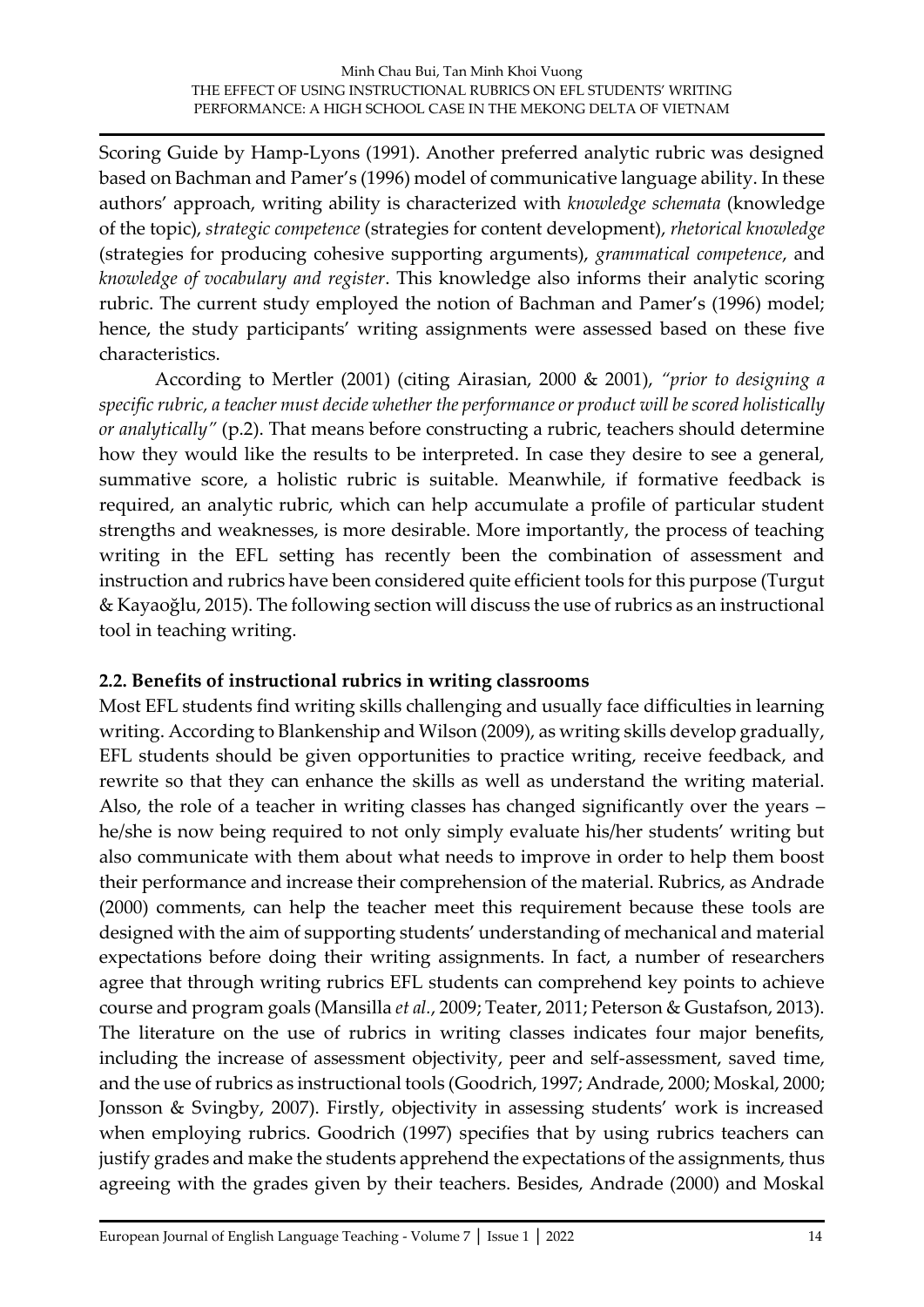Scoring Guide by Hamp-Lyons (1991). Another preferred analytic rubric was designed based on Bachman and Pamer's (1996) model of communicative language ability. In these authors' approach, writing ability is characterized with *knowledge schemata* (knowledge of the topic), *strategic competence* (strategies for content development), *rhetorical knowledge* (strategies for producing cohesive supporting arguments), *grammatical competence*, and *knowledge of vocabulary and register*. This knowledge also informs their analytic scoring rubric. The current study employed the notion of Bachman and Pamer's (1996) model; hence, the study participants' writing assignments were assessed based on these five characteristics.

According to Mertler (2001) (citing Airasian, 2000 & 2001), *"prior to designing a specific rubric, a teacher must decide whether the performance or product will be scored holistically or analytically"* (p.2). That means before constructing a rubric, teachers should determine how they would like the results to be interpreted. In case they desire to see a general, summative score, a holistic rubric is suitable. Meanwhile, if formative feedback is required, an analytic rubric, which can help accumulate a profile of particular student strengths and weaknesses, is more desirable. More importantly, the process of teaching writing in the EFL setting has recently been the combination of assessment and instruction and rubrics have been considered quite efficient tools for this purpose (Turgut & Kayaoğlu, 2015). The following section will discuss the use of rubrics as an instructional tool in teaching writing.

## **2.2. Benefits of instructional rubrics in writing classrooms**

Most EFL students find writing skills challenging and usually face difficulties in learning writing. According to Blankenship and Wilson (2009), as writing skills develop gradually, EFL students should be given opportunities to practice writing, receive feedback, and rewrite so that they can enhance the skills as well as understand the writing material. Also, the role of a teacher in writing classes has changed significantly over the years – he/she is now being required to not only simply evaluate his/her students' writing but also communicate with them about what needs to improve in order to help them boost their performance and increase their comprehension of the material. Rubrics, as Andrade (2000) comments, can help the teacher meet this requirement because these tools are designed with the aim of supporting students' understanding of mechanical and material expectations before doing their writing assignments. In fact, a number of researchers agree that through writing rubrics EFL students can comprehend key points to achieve course and program goals (Mansilla *et al.*, 2009; Teater, 2011; Peterson & Gustafson, 2013). The literature on the use of rubrics in writing classes indicates four major benefits, including the increase of assessment objectivity, peer and self-assessment, saved time, and the use of rubrics as instructional tools (Goodrich, 1997; Andrade, 2000; Moskal, 2000; Jonsson & Svingby, 2007). Firstly, objectivity in assessing students' work is increased when employing rubrics. Goodrich (1997) specifies that by using rubrics teachers can justify grades and make the students apprehend the expectations of the assignments, thus agreeing with the grades given by their teachers. Besides, Andrade (2000) and Moskal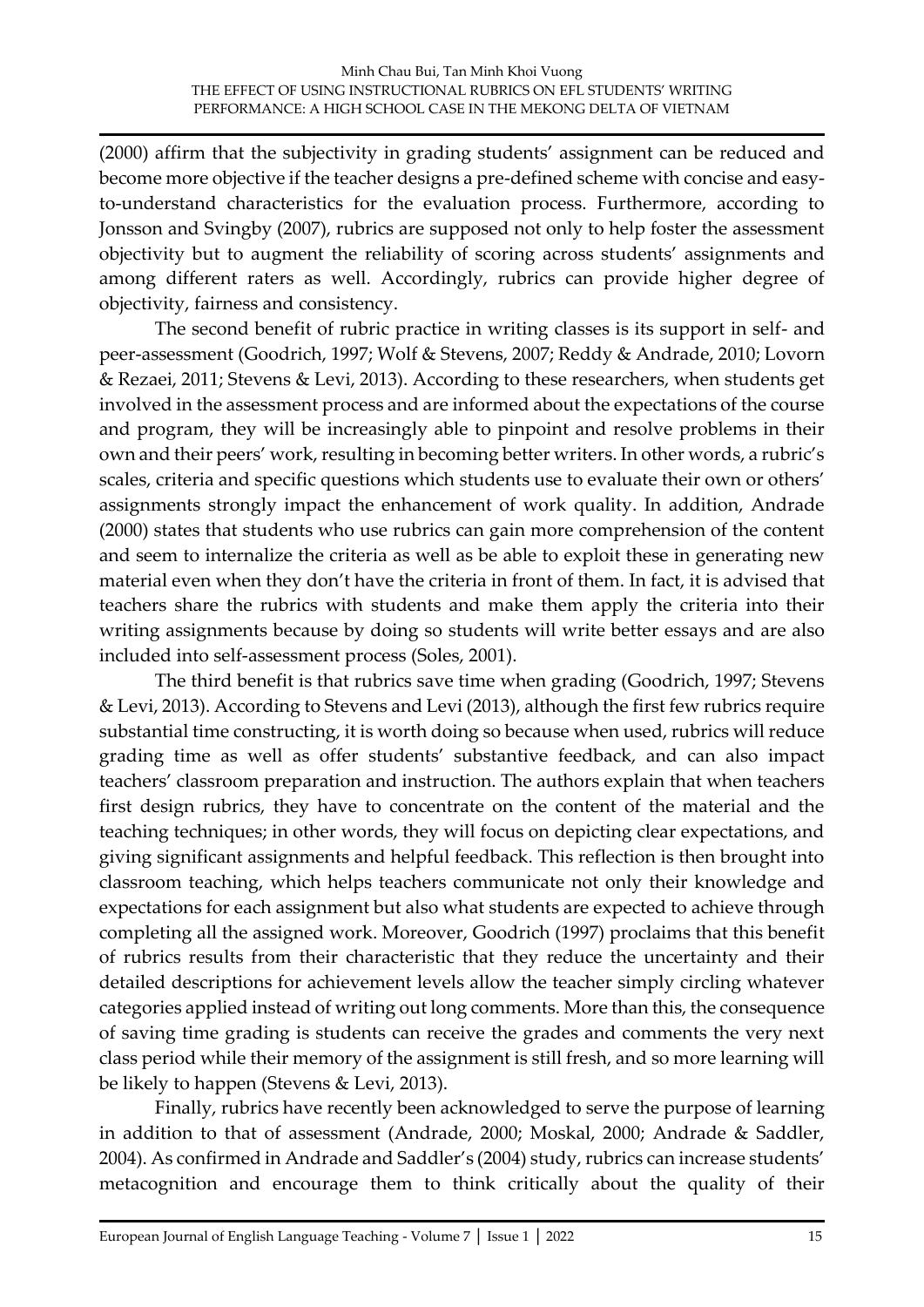(2000) affirm that the subjectivity in grading students' assignment can be reduced and become more objective if the teacher designs a pre-defined scheme with concise and easyto-understand characteristics for the evaluation process. Furthermore, according to Jonsson and Svingby (2007), rubrics are supposed not only to help foster the assessment objectivity but to augment the reliability of scoring across students' assignments and among different raters as well. Accordingly, rubrics can provide higher degree of objectivity, fairness and consistency.

The second benefit of rubric practice in writing classes is its support in self- and peer-assessment (Goodrich, 1997; Wolf & Stevens, 2007; Reddy & Andrade, 2010; Lovorn & Rezaei, 2011; Stevens & Levi, 2013). According to these researchers, when students get involved in the assessment process and are informed about the expectations of the course and program, they will be increasingly able to pinpoint and resolve problems in their own and their peers' work, resulting in becoming better writers. In other words, a rubric's scales, criteria and specific questions which students use to evaluate their own or others' assignments strongly impact the enhancement of work quality. In addition, Andrade (2000) states that students who use rubrics can gain more comprehension of the content and seem to internalize the criteria as well as be able to exploit these in generating new material even when they don't have the criteria in front of them. In fact, it is advised that teachers share the rubrics with students and make them apply the criteria into their writing assignments because by doing so students will write better essays and are also included into self-assessment process (Soles, 2001).

The third benefit is that rubrics save time when grading (Goodrich, 1997; Stevens & Levi, 2013). According to Stevens and Levi (2013), although the first few rubrics require substantial time constructing, it is worth doing so because when used, rubrics will reduce grading time as well as offer students' substantive feedback, and can also impact teachers' classroom preparation and instruction. The authors explain that when teachers first design rubrics, they have to concentrate on the content of the material and the teaching techniques; in other words, they will focus on depicting clear expectations, and giving significant assignments and helpful feedback. This reflection is then brought into classroom teaching, which helps teachers communicate not only their knowledge and expectations for each assignment but also what students are expected to achieve through completing all the assigned work. Moreover, Goodrich (1997) proclaims that this benefit of rubrics results from their characteristic that they reduce the uncertainty and their detailed descriptions for achievement levels allow the teacher simply circling whatever categories applied instead of writing out long comments. More than this, the consequence of saving time grading is students can receive the grades and comments the very next class period while their memory of the assignment is still fresh, and so more learning will be likely to happen (Stevens & Levi, 2013).

Finally, rubrics have recently been acknowledged to serve the purpose of learning in addition to that of assessment (Andrade, 2000; Moskal, 2000; Andrade & Saddler, 2004). As confirmed in Andrade and Saddler's (2004) study, rubrics can increase students' metacognition and encourage them to think critically about the quality of their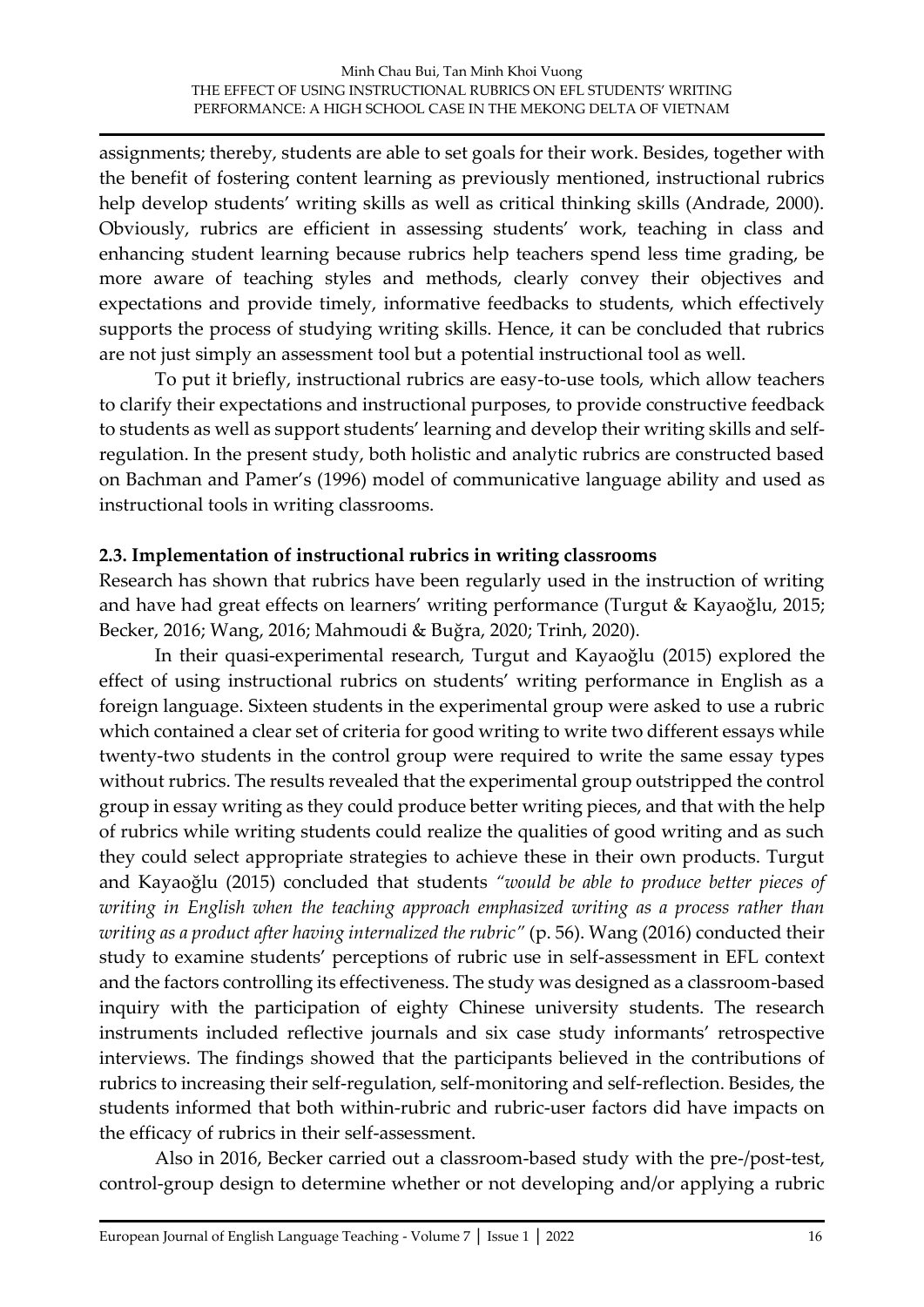assignments; thereby, students are able to set goals for their work. Besides, together with the benefit of fostering content learning as previously mentioned, instructional rubrics help develop students' writing skills as well as critical thinking skills (Andrade, 2000). Obviously, rubrics are efficient in assessing students' work, teaching in class and enhancing student learning because rubrics help teachers spend less time grading, be more aware of teaching styles and methods, clearly convey their objectives and expectations and provide timely, informative feedbacks to students, which effectively supports the process of studying writing skills. Hence, it can be concluded that rubrics are not just simply an assessment tool but a potential instructional tool as well.

To put it briefly, instructional rubrics are easy-to-use tools, which allow teachers to clarify their expectations and instructional purposes, to provide constructive feedback to students as well as support students' learning and develop their writing skills and selfregulation. In the present study, both holistic and analytic rubrics are constructed based on Bachman and Pamer's (1996) model of communicative language ability and used as instructional tools in writing classrooms.

## **2.3. Implementation of instructional rubrics in writing classrooms**

Research has shown that rubrics have been regularly used in the instruction of writing and have had great effects on learners' writing performance (Turgut & Kayaoğlu, 2015; Becker, 2016; Wang, 2016; Mahmoudi & Buğra, 2020; Trinh, 2020).

In their quasi-experimental research, Turgut and Kayaoğlu (2015) explored the effect of using instructional rubrics on students' writing performance in English as a foreign language. Sixteen students in the experimental group were asked to use a rubric which contained a clear set of criteria for good writing to write two different essays while twenty-two students in the control group were required to write the same essay types without rubrics. The results revealed that the experimental group outstripped the control group in essay writing as they could produce better writing pieces, and that with the help of rubrics while writing students could realize the qualities of good writing and as such they could select appropriate strategies to achieve these in their own products. Turgut and Kayaoğlu (2015) concluded that students *"would be able to produce better pieces of writing in English when the teaching approach emphasized writing as a process rather than writing as a product after having internalized the rubric"* (p. 56). Wang (2016) conducted their study to examine students' perceptions of rubric use in self-assessment in EFL context and the factors controlling its effectiveness. The study was designed as a classroom-based inquiry with the participation of eighty Chinese university students. The research instruments included reflective journals and six case study informants' retrospective interviews. The findings showed that the participants believed in the contributions of rubrics to increasing their self-regulation, self-monitoring and self-reflection. Besides, the students informed that both within-rubric and rubric-user factors did have impacts on the efficacy of rubrics in their self-assessment.

Also in 2016, Becker carried out a classroom-based study with the pre-/post-test, control-group design to determine whether or not developing and/or applying a rubric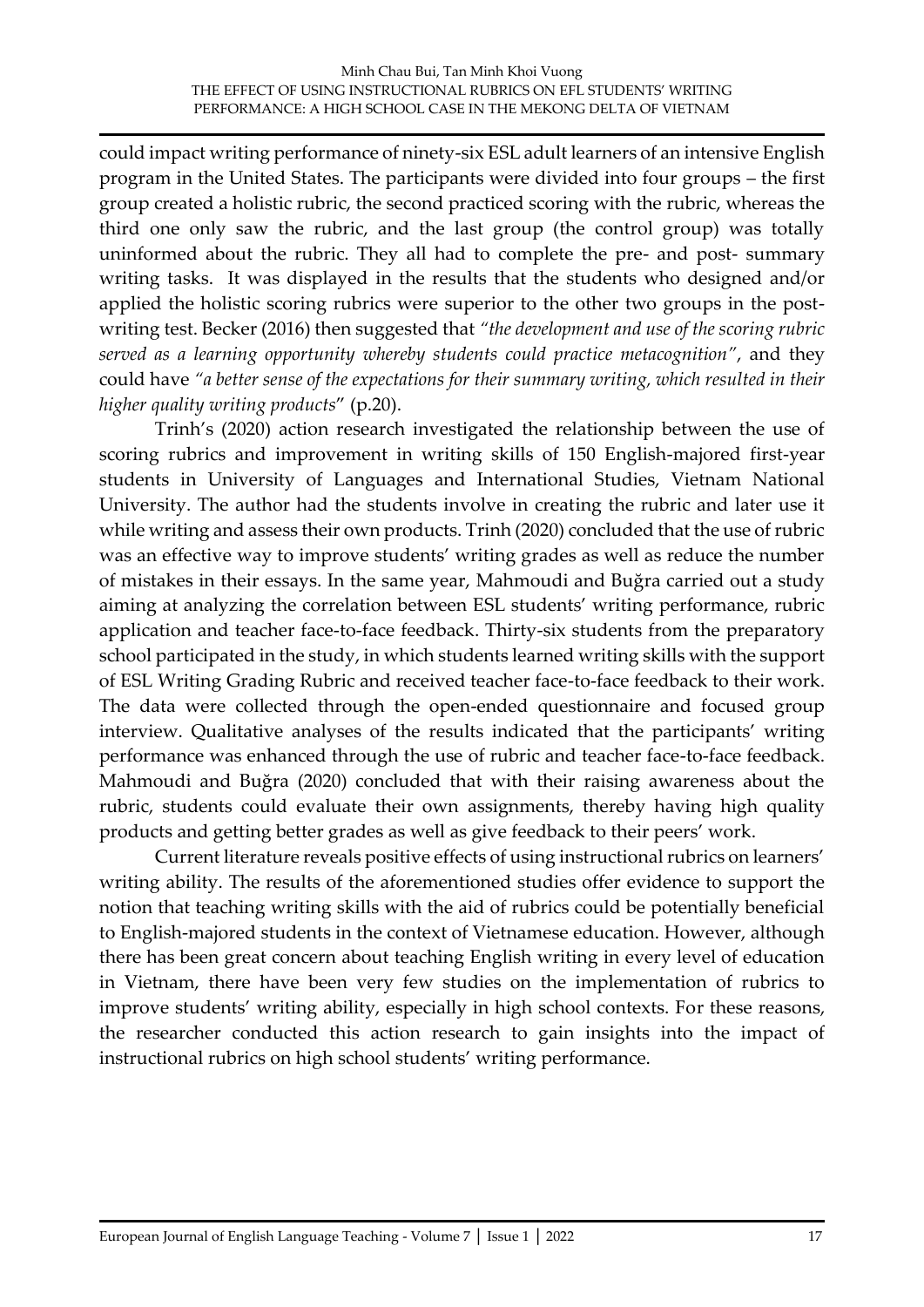could impact writing performance of ninety-six ESL adult learners of an intensive English program in the United States. The participants were divided into four groups – the first group created a holistic rubric, the second practiced scoring with the rubric, whereas the third one only saw the rubric, and the last group (the control group) was totally uninformed about the rubric. They all had to complete the pre- and post- summary writing tasks. It was displayed in the results that the students who designed and/or applied the holistic scoring rubrics were superior to the other two groups in the postwriting test. Becker (2016) then suggested that *"the development and use of the scoring rubric served as a learning opportunity whereby students could practice metacognition"*, and they could have *"a better sense of the expectations for their summary writing, which resulted in their higher quality writing products*" (p.20).

Trinh's (2020) action research investigated the relationship between the use of scoring rubrics and improvement in writing skills of 150 English-majored first-year students in University of Languages and International Studies, Vietnam National University. The author had the students involve in creating the rubric and later use it while writing and assess their own products. Trinh (2020) concluded that the use of rubric was an effective way to improve students' writing grades as well as reduce the number of mistakes in their essays. In the same year, Mahmoudi and Buğra carried out a study aiming at analyzing the correlation between ESL students' writing performance, rubric application and teacher face-to-face feedback. Thirty-six students from the preparatory school participated in the study, in which students learned writing skills with the support of ESL Writing Grading Rubric and received teacher face-to-face feedback to their work. The data were collected through the open-ended questionnaire and focused group interview. Qualitative analyses of the results indicated that the participants' writing performance was enhanced through the use of rubric and teacher face-to-face feedback. Mahmoudi and Buğra (2020) concluded that with their raising awareness about the rubric, students could evaluate their own assignments, thereby having high quality products and getting better grades as well as give feedback to their peers' work.

Current literature reveals positive effects of using instructional rubrics on learners' writing ability. The results of the aforementioned studies offer evidence to support the notion that teaching writing skills with the aid of rubrics could be potentially beneficial to English-majored students in the context of Vietnamese education. However, although there has been great concern about teaching English writing in every level of education in Vietnam, there have been very few studies on the implementation of rubrics to improve students' writing ability, especially in high school contexts. For these reasons, the researcher conducted this action research to gain insights into the impact of instructional rubrics on high school students' writing performance.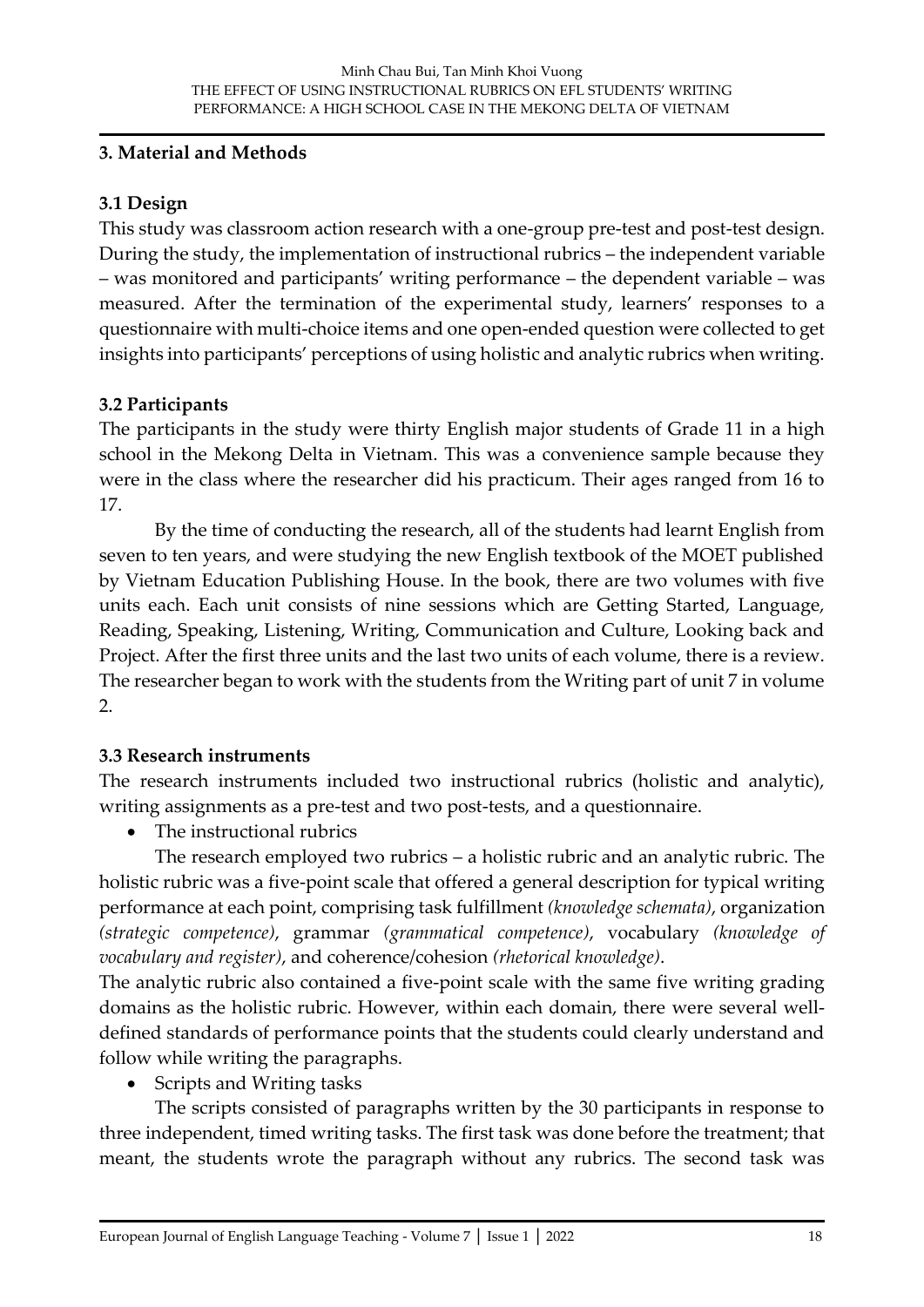#### **3. Material and Methods**

#### **3.1 Design**

This study was classroom action research with a one-group pre-test and post-test design. During the study, the implementation of instructional rubrics – the independent variable – was monitored and participants' writing performance – the dependent variable – was measured. After the termination of the experimental study, learners' responses to a questionnaire with multi-choice items and one open-ended question were collected to get insights into participants' perceptions of using holistic and analytic rubrics when writing.

## **3.2 Participants**

The participants in the study were thirty English major students of Grade 11 in a high school in the Mekong Delta in Vietnam. This was a convenience sample because they were in the class where the researcher did his practicum. Their ages ranged from 16 to 17.

By the time of conducting the research, all of the students had learnt English from seven to ten years, and were studying the new English textbook of the MOET published by Vietnam Education Publishing House. In the book, there are two volumes with five units each. Each unit consists of nine sessions which are Getting Started, Language, Reading, Speaking, Listening, Writing, Communication and Culture, Looking back and Project. After the first three units and the last two units of each volume, there is a review. The researcher began to work with the students from the Writing part of unit 7 in volume 2.

#### **3.3 Research instruments**

The research instruments included two instructional rubrics (holistic and analytic), writing assignments as a pre-test and two post-tests, and a questionnaire.

• The instructional rubrics

The research employed two rubrics – a holistic rubric and an analytic rubric. The holistic rubric was a five-point scale that offered a general description for typical writing performance at each point, comprising task fulfillment *(knowledge schemata)*, organization *(strategic competence)*, grammar *(grammatical competence)*, vocabulary *(knowledge of vocabulary and register)*, and coherence/cohesion *(rhetorical knowledge)*.

The analytic rubric also contained a five-point scale with the same five writing grading domains as the holistic rubric. However, within each domain, there were several welldefined standards of performance points that the students could clearly understand and follow while writing the paragraphs.

• Scripts and Writing tasks

The scripts consisted of paragraphs written by the 30 participants in response to three independent, timed writing tasks. The first task was done before the treatment; that meant, the students wrote the paragraph without any rubrics. The second task was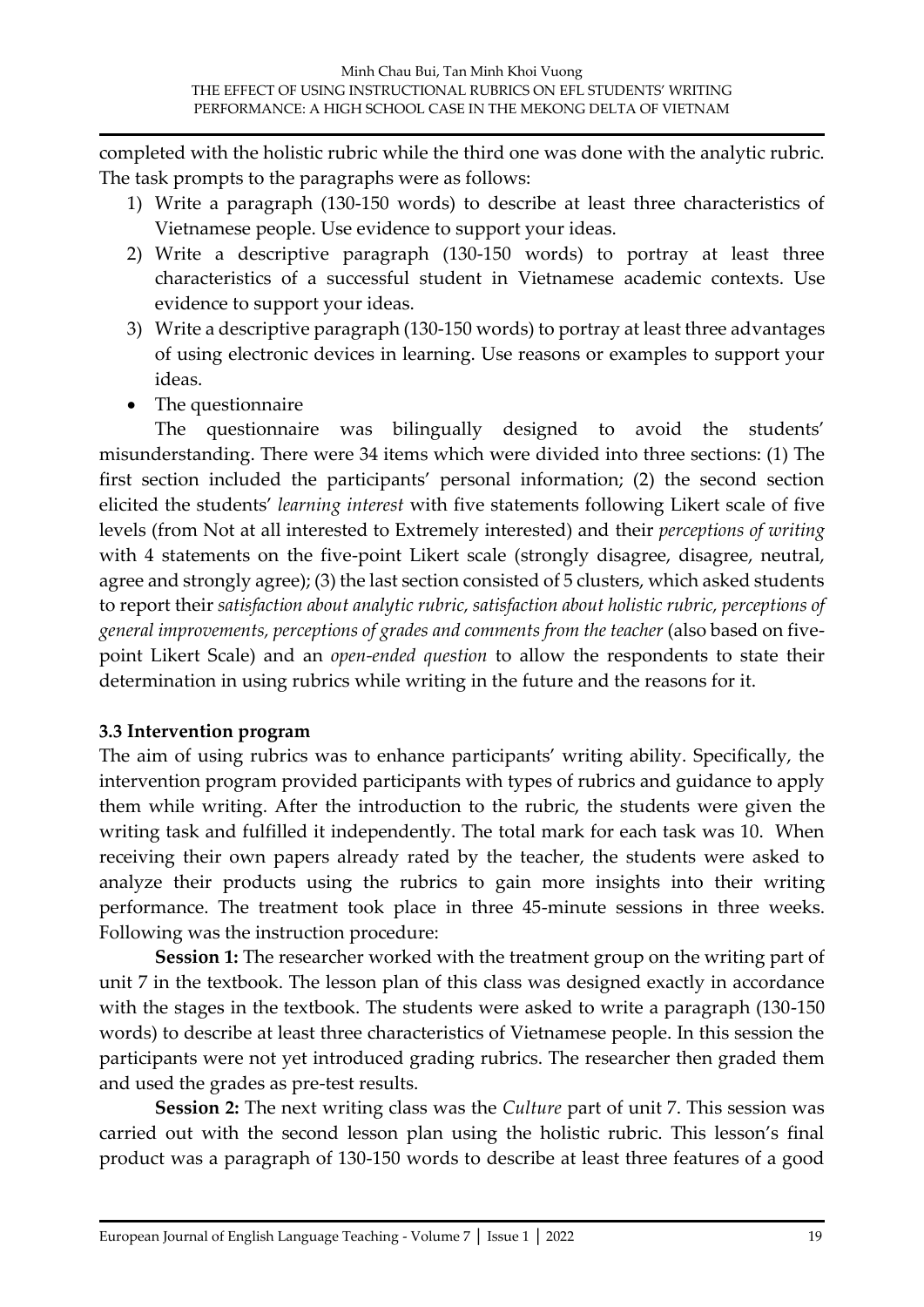completed with the holistic rubric while the third one was done with the analytic rubric. The task prompts to the paragraphs were as follows:

- 1) Write a paragraph (130-150 words) to describe at least three characteristics of Vietnamese people. Use evidence to support your ideas.
- 2) Write a descriptive paragraph (130-150 words) to portray at least three characteristics of a successful student in Vietnamese academic contexts. Use evidence to support your ideas.
- 3) Write a descriptive paragraph (130-150 words) to portray at least three advantages of using electronic devices in learning. Use reasons or examples to support your ideas.
- The questionnaire

The questionnaire was bilingually designed to avoid the students' misunderstanding. There were 34 items which were divided into three sections: (1) The first section included the participants' personal information; (2) the second section elicited the students' *learning interest* with five statements following Likert scale of five levels (from Not at all interested to Extremely interested) and their *perceptions of writing* with 4 statements on the five-point Likert scale (strongly disagree, disagree, neutral, agree and strongly agree); (3) the last section consisted of 5 clusters, which asked students to report their *satisfaction about analytic rubric, satisfaction about holistic rubric, perceptions of general improvements, perceptions of grades and comments from the teacher* (also based on fivepoint Likert Scale) and an *open-ended question* to allow the respondents to state their determination in using rubrics while writing in the future and the reasons for it.

## **3.3 Intervention program**

The aim of using rubrics was to enhance participants' writing ability. Specifically, the intervention program provided participants with types of rubrics and guidance to apply them while writing. After the introduction to the rubric, the students were given the writing task and fulfilled it independently. The total mark for each task was 10. When receiving their own papers already rated by the teacher, the students were asked to analyze their products using the rubrics to gain more insights into their writing performance. The treatment took place in three 45-minute sessions in three weeks. Following was the instruction procedure:

**Session 1:** The researcher worked with the treatment group on the writing part of unit 7 in the textbook. The lesson plan of this class was designed exactly in accordance with the stages in the textbook. The students were asked to write a paragraph (130-150) words) to describe at least three characteristics of Vietnamese people. In this session the participants were not yet introduced grading rubrics. The researcher then graded them and used the grades as pre-test results.

**Session 2:** The next writing class was the *Culture* part of unit 7. This session was carried out with the second lesson plan using the holistic rubric. This lesson's final product was a paragraph of 130-150 words to describe at least three features of a good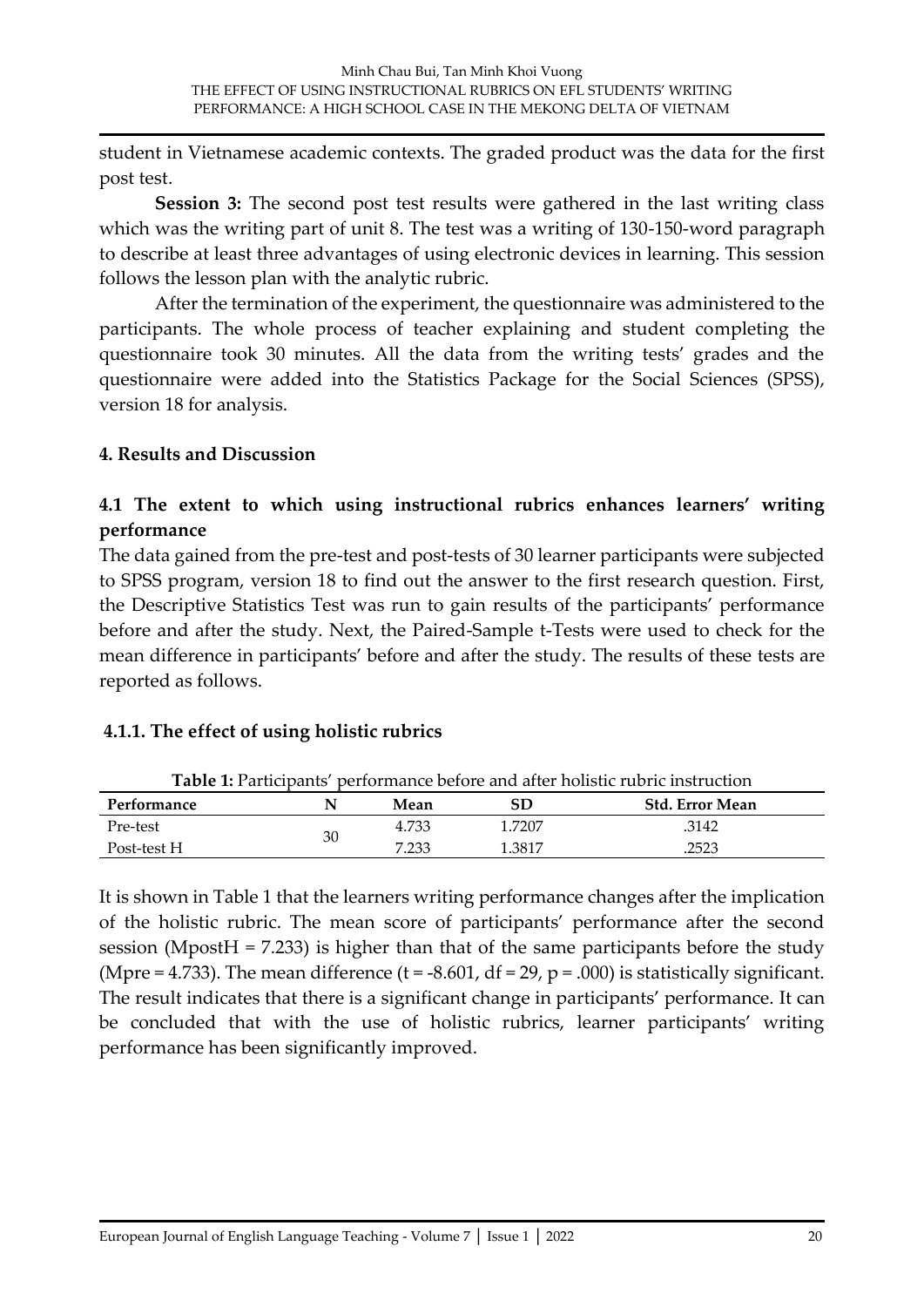student in Vietnamese academic contexts. The graded product was the data for the first post test.

**Session 3:** The second post test results were gathered in the last writing class which was the writing part of unit 8. The test was a writing of 130-150-word paragraph to describe at least three advantages of using electronic devices in learning. This session follows the lesson plan with the analytic rubric.

After the termination of the experiment, the questionnaire was administered to the participants. The whole process of teacher explaining and student completing the questionnaire took 30 minutes. All the data from the writing tests' grades and the questionnaire were added into the Statistics Package for the Social Sciences (SPSS), version 18 for analysis.

#### **4. Results and Discussion**

## **4.1 The extent to which using instructional rubrics enhances learners' writing performance**

The data gained from the pre-test and post-tests of 30 learner participants were subjected to SPSS program, version 18 to find out the answer to the first research question. First, the Descriptive Statistics Test was run to gain results of the participants' performance before and after the study. Next, the Paired-Sample t-Tests were used to check for the mean difference in participants' before and after the study. The results of these tests are reported as follows.

## **4.1.1. The effect of using holistic rubrics**

| Table 1: Participants' performance before and after holistic rubric instruction |    |       |        |                        |  |
|---------------------------------------------------------------------------------|----|-------|--------|------------------------|--|
| Performance                                                                     |    | Mean  | SD     | <b>Std. Error Mean</b> |  |
| Pre-test                                                                        | 30 | 4.733 | 1.7207 | .3142                  |  |
| Post-test H                                                                     |    | 7.233 | 1.3817 | 2523                   |  |

**Table 1:** Participants' performance before and after holistic rubric instruction

It is shown in Table 1 that the learners writing performance changes after the implication of the holistic rubric. The mean score of participants' performance after the second session (MpostH = 7.233) is higher than that of the same participants before the study (Mpre = 4.733). The mean difference ( $t = -8.601$ ,  $df = 29$ ,  $p = .000$ ) is statistically significant. The result indicates that there is a significant change in participants' performance. It can be concluded that with the use of holistic rubrics, learner participants' writing performance has been significantly improved.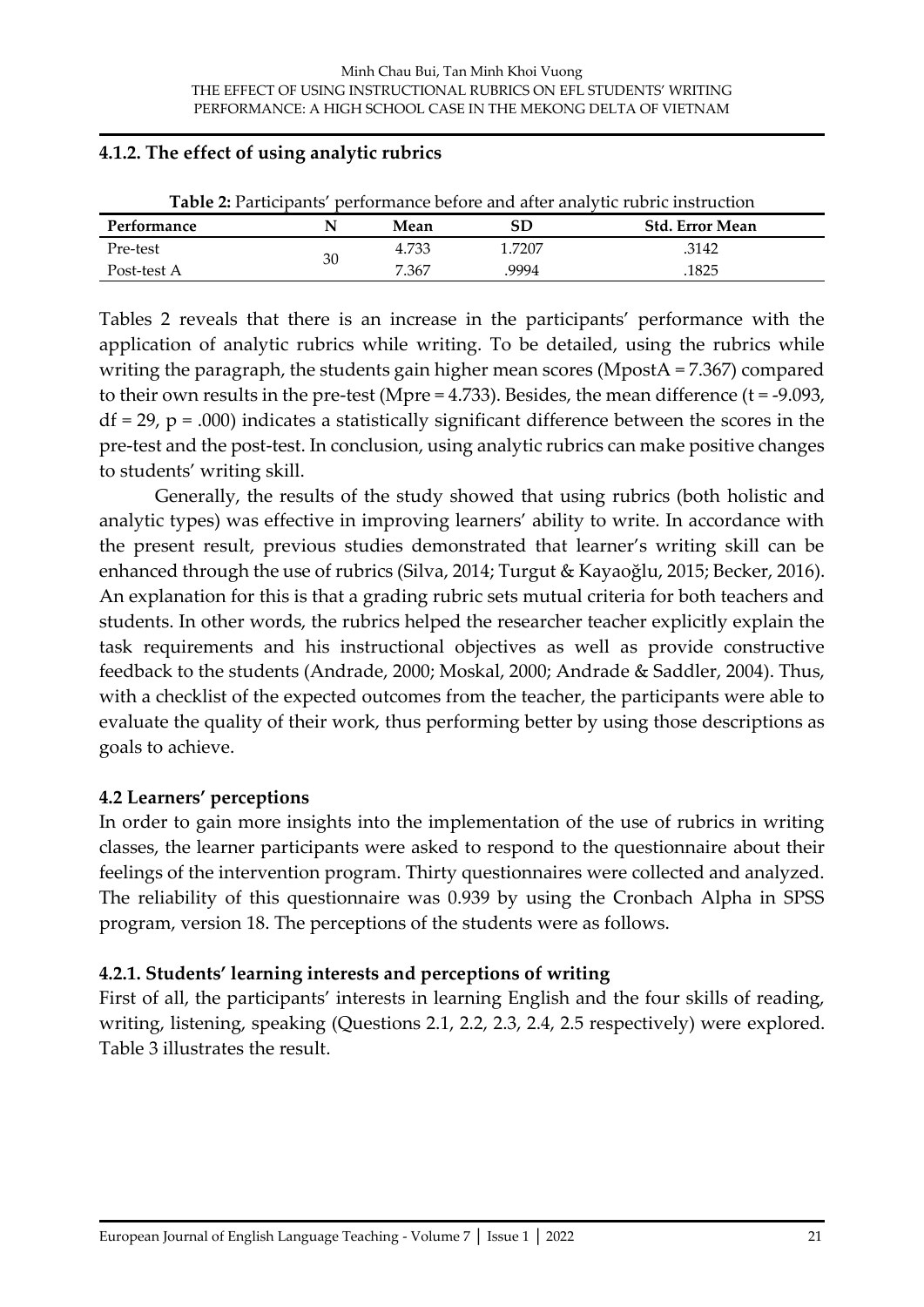#### **4.1.2. The effect of using analytic rubrics**

| <b>Table 2:</b> Participants' performance before and after analytic rubric instruction |    |       |        |                        |  |
|----------------------------------------------------------------------------------------|----|-------|--------|------------------------|--|
| Performance                                                                            |    | Mean  |        | <b>Std. Error Mean</b> |  |
| Pre-test                                                                               |    | 4.733 | 1.7207 | .3142                  |  |
| Post-test A                                                                            | 30 | 7.367 | 9994   | 1825                   |  |

Tables 2 reveals that there is an increase in the participants' performance with the application of analytic rubrics while writing. To be detailed, using the rubrics while writing the paragraph, the students gain higher mean scores (MpostA = 7.367) compared to their own results in the pre-test (Mpre =  $4.733$ ). Besides, the mean difference ( $t = -9.093$ ,  $df = 29$ ,  $p = .000$ ) indicates a statistically significant difference between the scores in the pre-test and the post-test. In conclusion, using analytic rubrics can make positive changes to students' writing skill.

Generally, the results of the study showed that using rubrics (both holistic and analytic types) was effective in improving learners' ability to write. In accordance with the present result, previous studies demonstrated that learner's writing skill can be enhanced through the use of rubrics (Silva, 2014; Turgut & Kayaoğlu, 2015; Becker, 2016). An explanation for this is that a grading rubric sets mutual criteria for both teachers and students. In other words, the rubrics helped the researcher teacher explicitly explain the task requirements and his instructional objectives as well as provide constructive feedback to the students (Andrade, 2000; Moskal, 2000; Andrade & Saddler, 2004). Thus, with a checklist of the expected outcomes from the teacher, the participants were able to evaluate the quality of their work, thus performing better by using those descriptions as goals to achieve.

#### **4.2 Learners' perceptions**

In order to gain more insights into the implementation of the use of rubrics in writing classes, the learner participants were asked to respond to the questionnaire about their feelings of the intervention program. Thirty questionnaires were collected and analyzed. The reliability of this questionnaire was 0.939 by using the Cronbach Alpha in SPSS program, version 18. The perceptions of the students were as follows.

#### **4.2.1. Students' learning interests and perceptions of writing**

First of all, the participants' interests in learning English and the four skills of reading, writing, listening, speaking (Questions 2.1, 2.2, 2.3, 2.4, 2.5 respectively) were explored. Table 3 illustrates the result.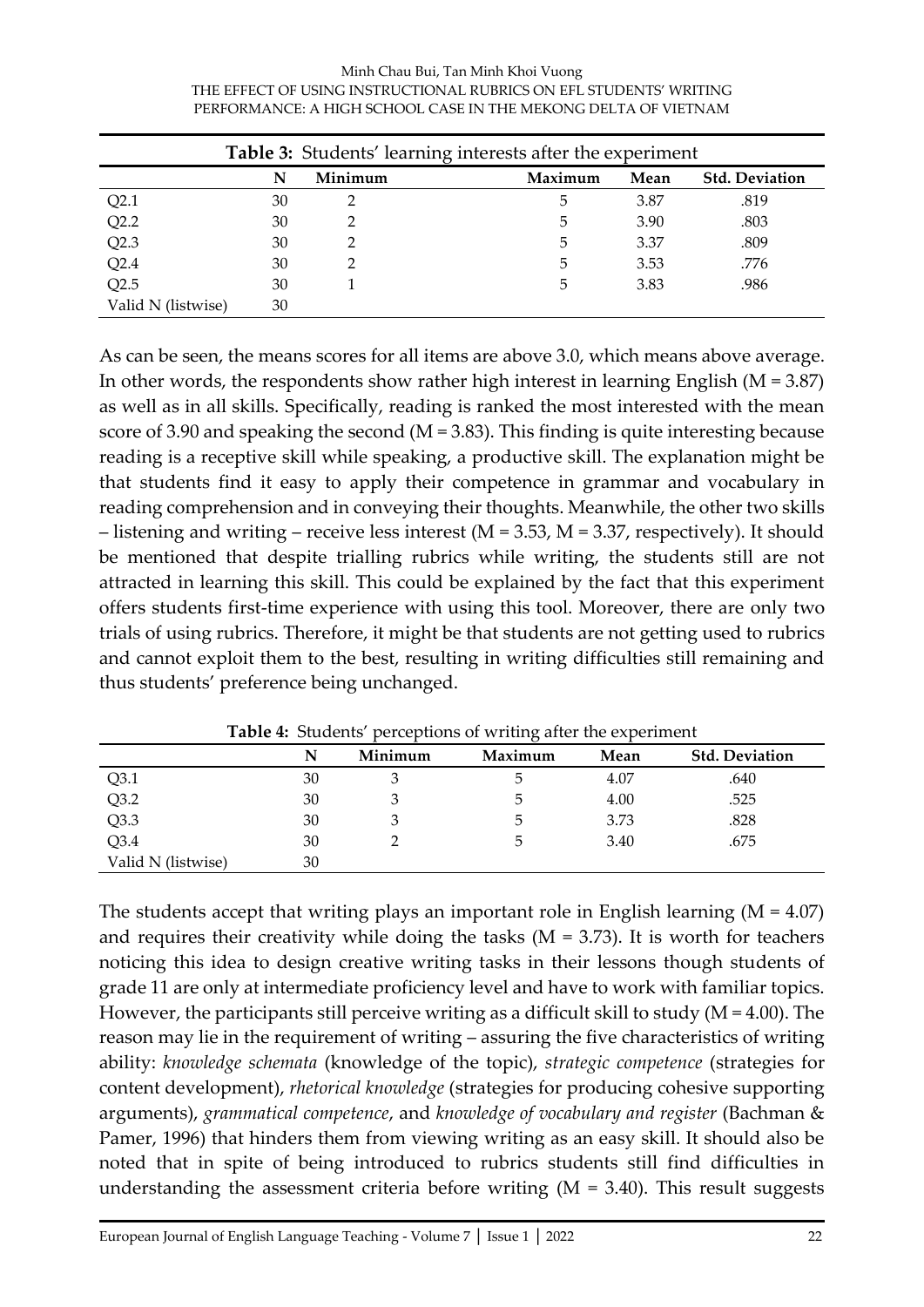#### Minh Chau Bui, Tan Minh Khoi Vuong THE EFFECT OF USING INSTRUCTIONAL RUBRICS ON EFL STUDENTS' WRITING PERFORMANCE: A HIGH SCHOOL CASE IN THE MEKONG DELTA OF VIETNAM

| Table 3: Students' learning interests after the experiment |    |         |         |      |                       |  |
|------------------------------------------------------------|----|---------|---------|------|-----------------------|--|
|                                                            | N  | Minimum | Maximum | Mean | <b>Std. Deviation</b> |  |
| Q2.1                                                       | 30 |         | b.      | 3.87 | .819                  |  |
| Q2.2                                                       | 30 |         | 5       | 3.90 | .803                  |  |
| Q2.3                                                       | 30 |         | 5       | 3.37 | .809                  |  |
| Q2.4                                                       | 30 |         | 5       | 3.53 | .776                  |  |
| Q2.5                                                       | 30 |         | 5       | 3.83 | .986                  |  |
| Valid N (listwise)                                         | 30 |         |         |      |                       |  |

As can be seen, the means scores for all items are above 3.0, which means above average. In other words, the respondents show rather high interest in learning English ( $M = 3.87$ ) as well as in all skills. Specifically, reading is ranked the most interested with the mean score of 3.90 and speaking the second ( $M = 3.83$ ). This finding is quite interesting because reading is a receptive skill while speaking, a productive skill. The explanation might be that students find it easy to apply their competence in grammar and vocabulary in reading comprehension and in conveying their thoughts. Meanwhile, the other two skills – listening and writing – receive less interest (M = 3.53, M = 3.37, respectively). It should be mentioned that despite trialling rubrics while writing, the students still are not attracted in learning this skill. This could be explained by the fact that this experiment offers students first-time experience with using this tool. Moreover, there are only two trials of using rubrics. Therefore, it might be that students are not getting used to rubrics and cannot exploit them to the best, resulting in writing difficulties still remaining and thus students' preference being unchanged.

|                    |    |         | $\cdot$ |      |                       |
|--------------------|----|---------|---------|------|-----------------------|
|                    | N  | Minimum | Maximum | Mean | <b>Std. Deviation</b> |
| Q3.1               | 30 | 3       | 5       | 4.07 | .640                  |
| Q3.2               | 30 | З       | 5       | 4.00 | .525                  |
| Q3.3               | 30 | 3       | 5       | 3.73 | .828                  |
| Q3.4               | 30 |         | 5       | 3.40 | .675                  |
| Valid N (listwise) | 30 |         |         |      |                       |

**Table 4:** Students' perceptions of writing after the experiment

The students accept that writing plays an important role in English learning  $(M = 4.07)$ and requires their creativity while doing the tasks  $(M = 3.73)$ . It is worth for teachers noticing this idea to design creative writing tasks in their lessons though students of grade 11 are only at intermediate proficiency level and have to work with familiar topics. However, the participants still perceive writing as a difficult skill to study  $(M = 4.00)$ . The reason may lie in the requirement of writing – assuring the five characteristics of writing ability: *knowledge schemata* (knowledge of the topic), *strategic competence* (strategies for content development), *rhetorical knowledge* (strategies for producing cohesive supporting arguments), *grammatical competence*, and *knowledge of vocabulary and register* (Bachman & Pamer, 1996) that hinders them from viewing writing as an easy skill. It should also be noted that in spite of being introduced to rubrics students still find difficulties in understanding the assessment criteria before writing  $(M = 3.40)$ . This result suggests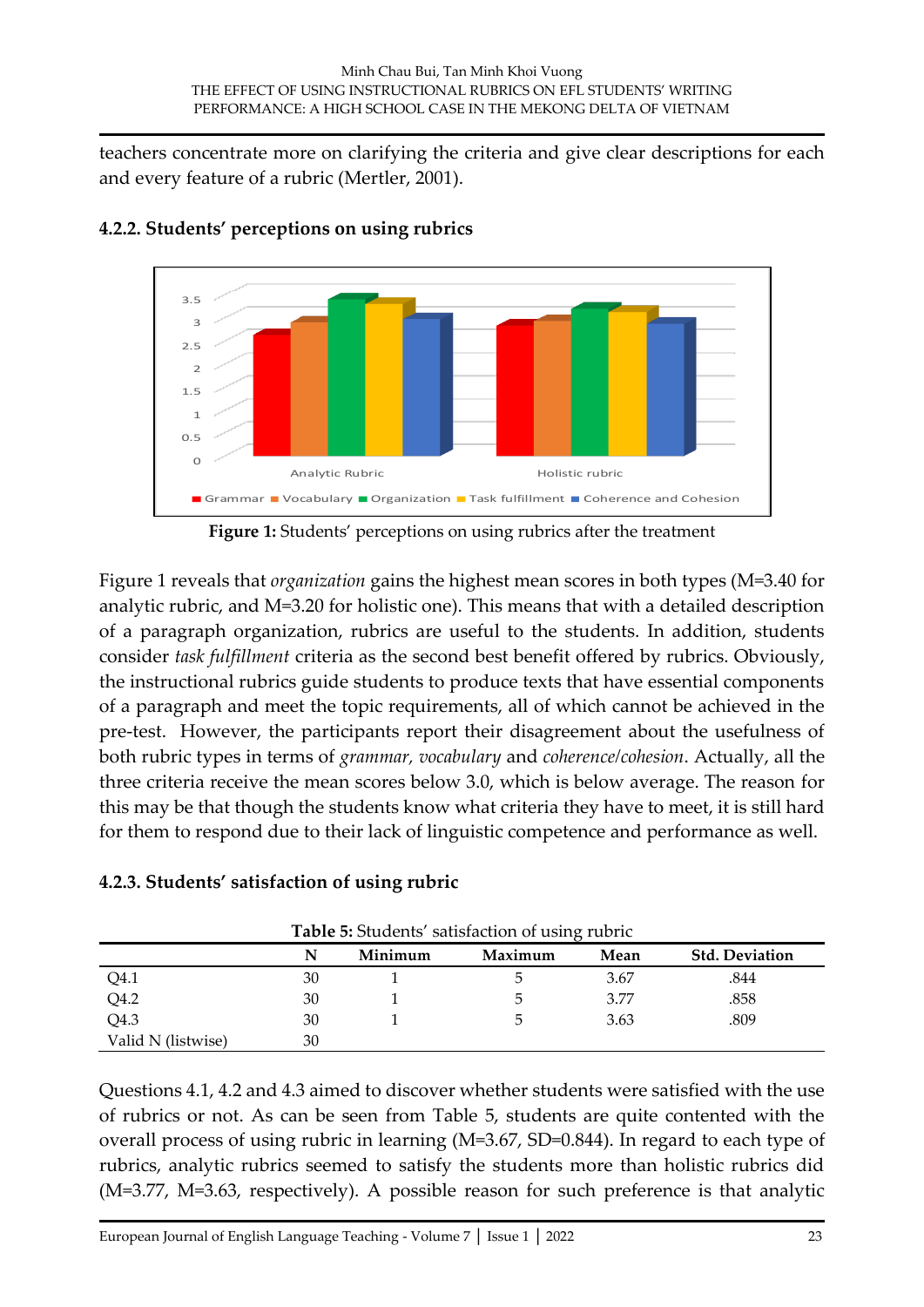teachers concentrate more on clarifying the criteria and give clear descriptions for each and every feature of a rubric (Mertler, 2001).



## **4.2.2. Students' perceptions on using rubrics**

**Figure 1:** Students' perceptions on using rubrics after the treatment

Figure 1 reveals that *organization* gains the highest mean scores in both types (M=3.40 for analytic rubric, and M=3.20 for holistic one). This means that with a detailed description of a paragraph organization, rubrics are useful to the students. In addition, students consider *task fulfillment* criteria as the second best benefit offered by rubrics. Obviously, the instructional rubrics guide students to produce texts that have essential components of a paragraph and meet the topic requirements, all of which cannot be achieved in the pre-test. However, the participants report their disagreement about the usefulness of both rubric types in terms of *grammar, vocabulary* and *coherence/cohesion*. Actually, all the three criteria receive the mean scores below 3.0, which is below average. The reason for this may be that though the students know what criteria they have to meet, it is still hard for them to respond due to their lack of linguistic competence and performance as well.

| <b>Table 5:</b> Students' satisfaction of using rubric |    |         |         |      |                       |
|--------------------------------------------------------|----|---------|---------|------|-----------------------|
|                                                        | N  | Minimum | Maximum | Mean | <b>Std. Deviation</b> |
| Q4.1                                                   | 30 |         |         | 3.67 | .844                  |
| Q4.2                                                   | 30 |         | .,      | 3.77 | .858                  |
| Q4.3                                                   | 30 |         | h       | 3.63 | .809                  |
| Valid N (listwise)                                     | 30 |         |         |      |                       |

## **4.2.3. Students' satisfaction of using rubric**

Questions 4.1, 4.2 and 4.3 aimed to discover whether students were satisfied with the use of rubrics or not. As can be seen from Table 5, students are quite contented with the overall process of using rubric in learning (M=3.67, SD=0.844). In regard to each type of rubrics, analytic rubrics seemed to satisfy the students more than holistic rubrics did (M=3.77, M=3.63, respectively). A possible reason for such preference is that analytic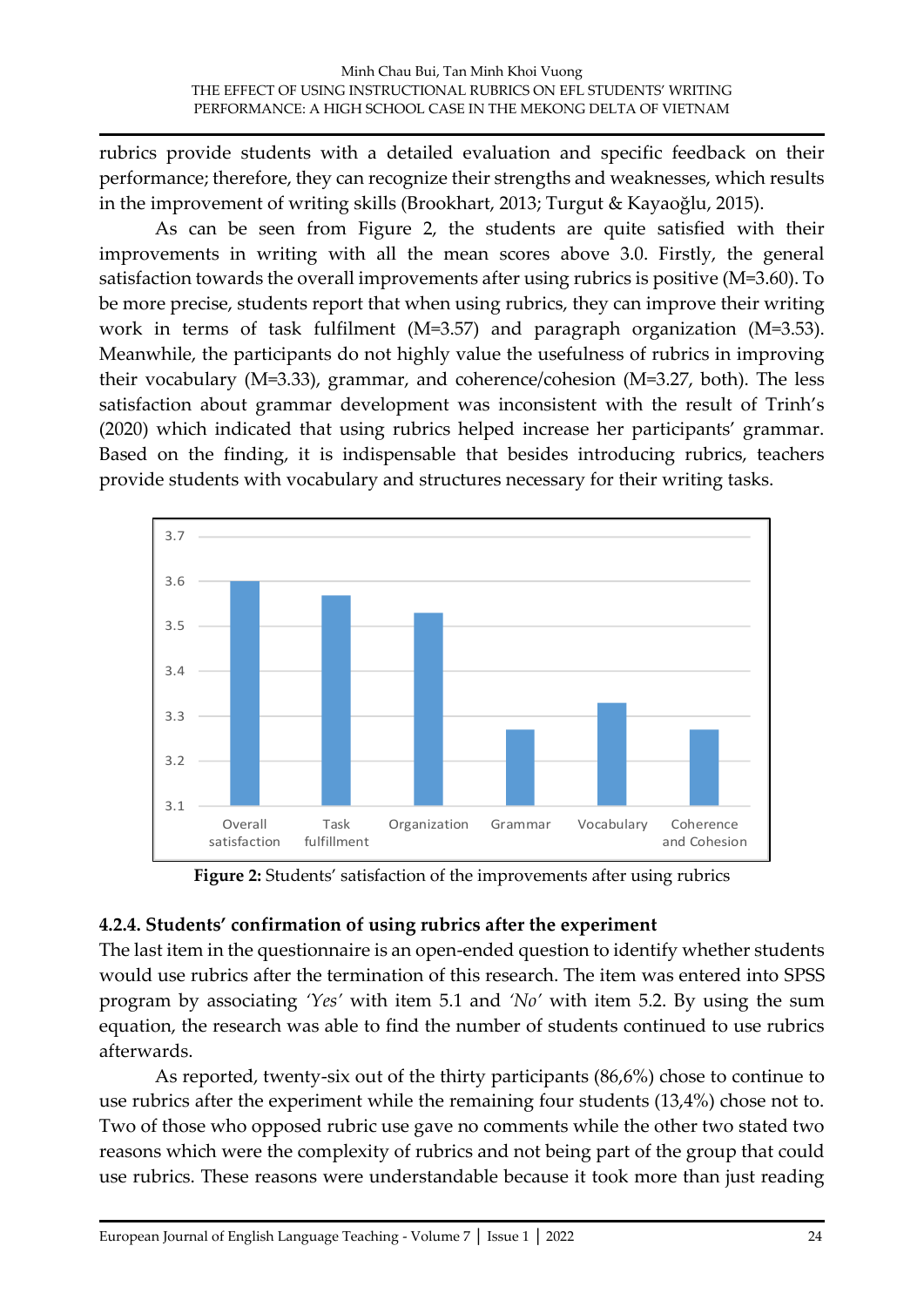rubrics provide students with a detailed evaluation and specific feedback on their performance; therefore, they can recognize their strengths and weaknesses, which results in the improvement of writing skills (Brookhart, 2013; Turgut & Kayaoğlu, 2015).

As can be seen from Figure 2, the students are quite satisfied with their improvements in writing with all the mean scores above 3.0. Firstly, the general satisfaction towards the overall improvements after using rubrics is positive (M=3.60). To be more precise, students report that when using rubrics, they can improve their writing work in terms of task fulfilment (M=3.57) and paragraph organization (M=3.53). Meanwhile, the participants do not highly value the usefulness of rubrics in improving their vocabulary (M=3.33), grammar, and coherence/cohesion (M=3.27, both). The less satisfaction about grammar development was inconsistent with the result of Trinh's (2020) which indicated that using rubrics helped increase her participants' grammar. Based on the finding, it is indispensable that besides introducing rubrics, teachers provide students with vocabulary and structures necessary for their writing tasks.



**Figure 2:** Students' satisfaction of the improvements after using rubrics

# **4.2.4. Students' confirmation of using rubrics after the experiment**

The last item in the questionnaire is an open-ended question to identify whether students would use rubrics after the termination of this research. The item was entered into SPSS program by associating *'Yes'* with item 5.1 and *'No'* with item 5.2. By using the sum equation, the research was able to find the number of students continued to use rubrics afterwards.

As reported, twenty-six out of the thirty participants (86,6%) chose to continue to use rubrics after the experiment while the remaining four students (13,4%) chose not to. Two of those who opposed rubric use gave no comments while the other two stated two reasons which were the complexity of rubrics and not being part of the group that could use rubrics. These reasons were understandable because it took more than just reading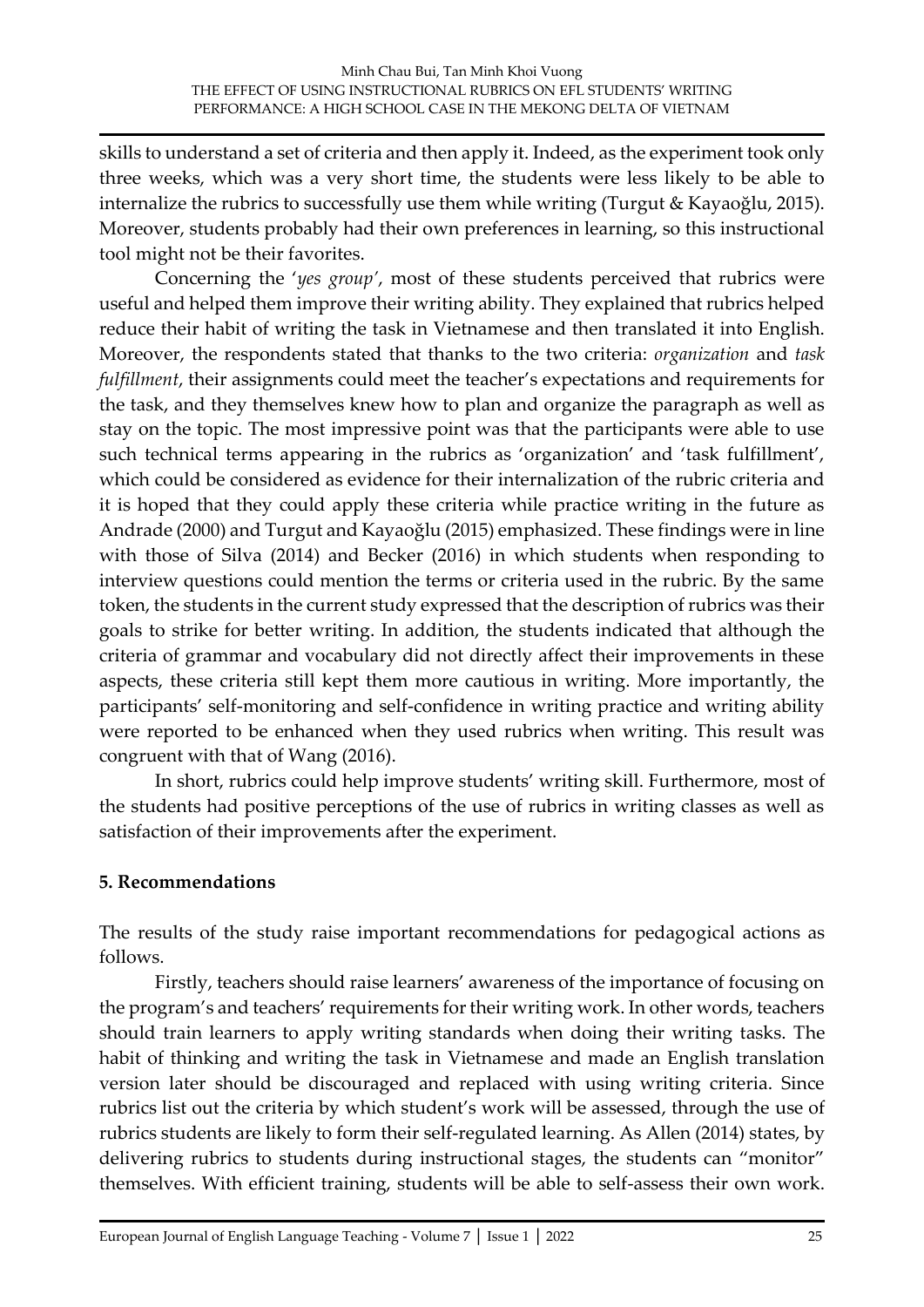skills to understand a set of criteria and then apply it. Indeed, as the experiment took only three weeks, which was a very short time, the students were less likely to be able to internalize the rubrics to successfully use them while writing (Turgut & Kayaoğlu, 2015). Moreover, students probably had their own preferences in learning, so this instructional tool might not be their favorites.

Concerning the '*yes group'*, most of these students perceived that rubrics were useful and helped them improve their writing ability. They explained that rubrics helped reduce their habit of writing the task in Vietnamese and then translated it into English. Moreover, the respondents stated that thanks to the two criteria: *organization* and *task fulfillment*, their assignments could meet the teacher's expectations and requirements for the task, and they themselves knew how to plan and organize the paragraph as well as stay on the topic. The most impressive point was that the participants were able to use such technical terms appearing in the rubrics as 'organization' and 'task fulfillment', which could be considered as evidence for their internalization of the rubric criteria and it is hoped that they could apply these criteria while practice writing in the future as Andrade (2000) and Turgut and Kayaoğlu (2015) emphasized. These findings were in line with those of Silva (2014) and Becker (2016) in which students when responding to interview questions could mention the terms or criteria used in the rubric. By the same token, the students in the current study expressed that the description of rubrics was their goals to strike for better writing. In addition, the students indicated that although the criteria of grammar and vocabulary did not directly affect their improvements in these aspects, these criteria still kept them more cautious in writing. More importantly, the participants' self-monitoring and self-confidence in writing practice and writing ability were reported to be enhanced when they used rubrics when writing. This result was congruent with that of Wang (2016).

In short, rubrics could help improve students' writing skill. Furthermore, most of the students had positive perceptions of the use of rubrics in writing classes as well as satisfaction of their improvements after the experiment.

## **5. Recommendations**

The results of the study raise important recommendations for pedagogical actions as follows.

Firstly, teachers should raise learners' awareness of the importance of focusing on the program's and teachers' requirements for their writing work. In other words, teachers should train learners to apply writing standards when doing their writing tasks. The habit of thinking and writing the task in Vietnamese and made an English translation version later should be discouraged and replaced with using writing criteria. Since rubrics list out the criteria by which student's work will be assessed, through the use of rubrics students are likely to form their self-regulated learning. As Allen (2014) states, by delivering rubrics to students during instructional stages, the students can "monitor" themselves. With efficient training, students will be able to self-assess their own work.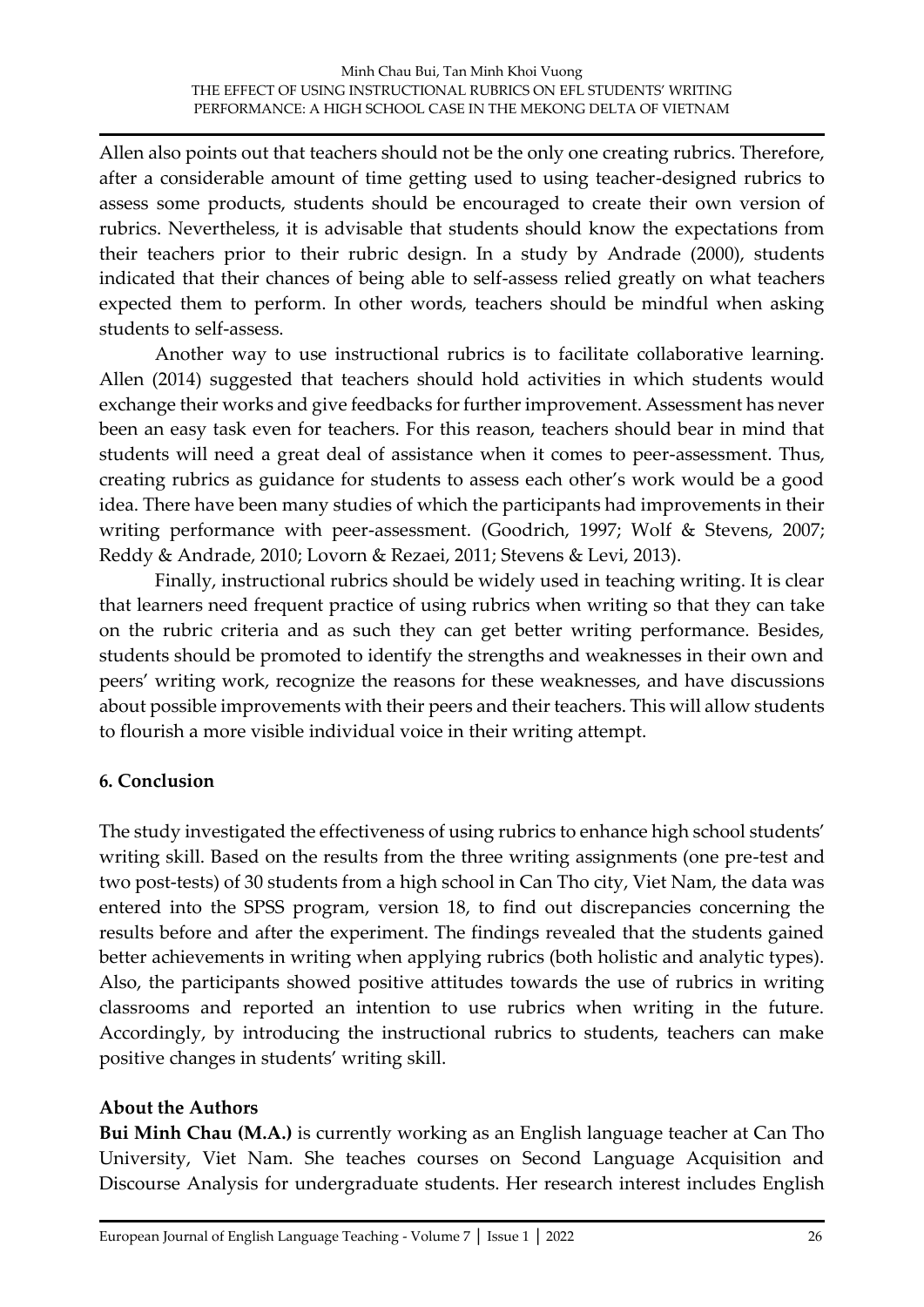Allen also points out that teachers should not be the only one creating rubrics. Therefore, after a considerable amount of time getting used to using teacher-designed rubrics to assess some products, students should be encouraged to create their own version of rubrics. Nevertheless, it is advisable that students should know the expectations from their teachers prior to their rubric design. In a study by Andrade (2000), students indicated that their chances of being able to self-assess relied greatly on what teachers expected them to perform. In other words, teachers should be mindful when asking students to self-assess.

Another way to use instructional rubrics is to facilitate collaborative learning. Allen (2014) suggested that teachers should hold activities in which students would exchange their works and give feedbacks for further improvement. Assessment has never been an easy task even for teachers. For this reason, teachers should bear in mind that students will need a great deal of assistance when it comes to peer-assessment. Thus, creating rubrics as guidance for students to assess each other's work would be a good idea. There have been many studies of which the participants had improvements in their writing performance with peer-assessment. (Goodrich, 1997; Wolf & Stevens, 2007; Reddy & Andrade, 2010; Lovorn & Rezaei, 2011; Stevens & Levi, 2013).

Finally, instructional rubrics should be widely used in teaching writing. It is clear that learners need frequent practice of using rubrics when writing so that they can take on the rubric criteria and as such they can get better writing performance. Besides, students should be promoted to identify the strengths and weaknesses in their own and peers' writing work, recognize the reasons for these weaknesses, and have discussions about possible improvements with their peers and their teachers. This will allow students to flourish a more visible individual voice in their writing attempt.

## **6. Conclusion**

The study investigated the effectiveness of using rubrics to enhance high school students' writing skill. Based on the results from the three writing assignments (one pre-test and two post-tests) of 30 students from a high school in Can Tho city, Viet Nam, the data was entered into the SPSS program, version 18, to find out discrepancies concerning the results before and after the experiment. The findings revealed that the students gained better achievements in writing when applying rubrics (both holistic and analytic types). Also, the participants showed positive attitudes towards the use of rubrics in writing classrooms and reported an intention to use rubrics when writing in the future. Accordingly, by introducing the instructional rubrics to students, teachers can make positive changes in students' writing skill.

## **About the Authors**

**Bui Minh Chau (M.A.)** is currently working as an English language teacher at Can Tho University, Viet Nam. She teaches courses on Second Language Acquisition and Discourse Analysis for undergraduate students. Her research interest includes English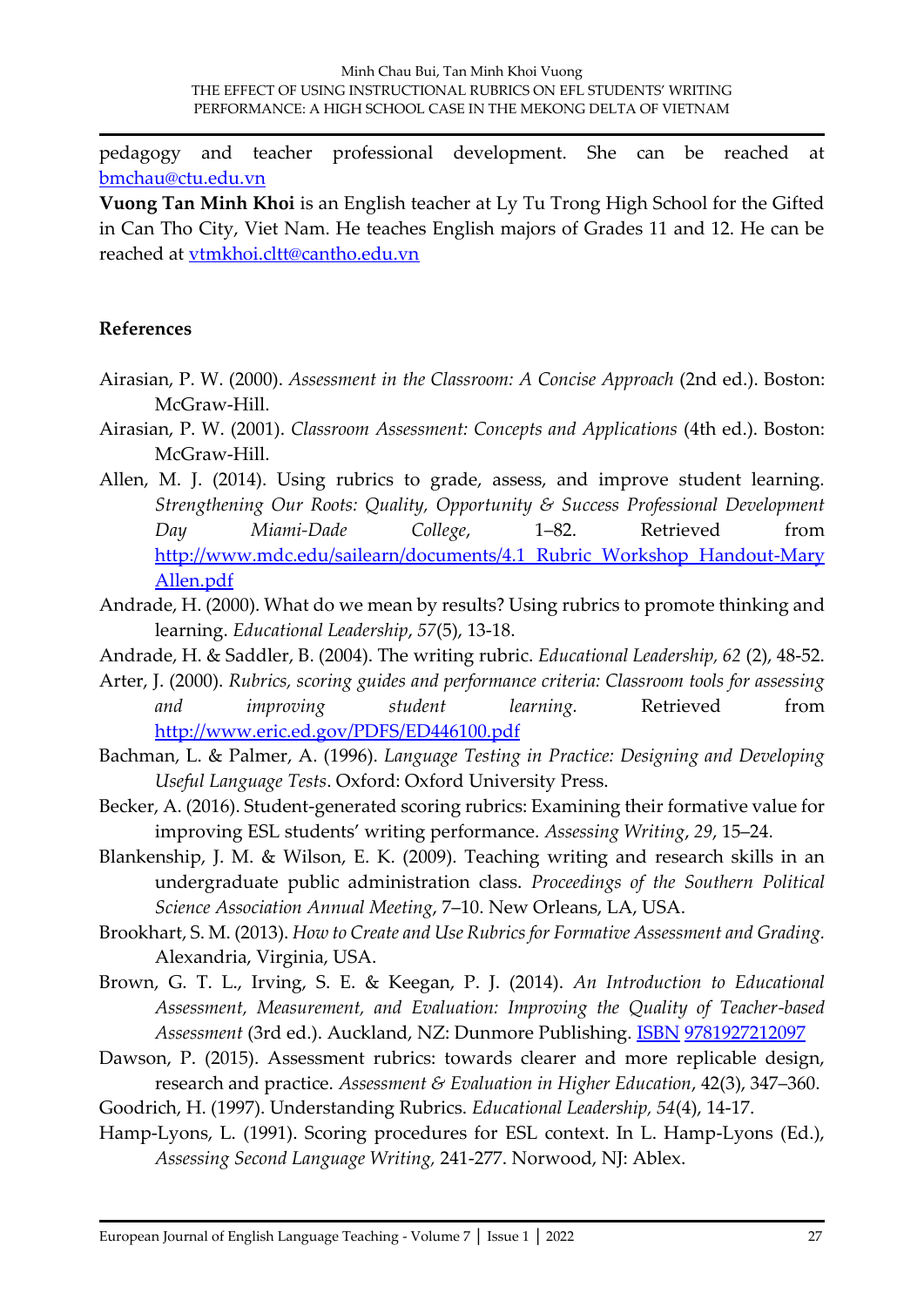pedagogy and teacher professional development. She can be reached at [bmchau@ctu.edu.vn](mailto:bmchau@ctu.edu.vn)

**Vuong Tan Minh Khoi** is an English teacher at Ly Tu Trong High School for the Gifted in Can Tho City, Viet Nam. He teaches English majors of Grades 11 and 12. He can be reached at [vtmkhoi.cltt@cantho.edu.vn](mailto:vtmkhoi.cltt@cantho.edu.vn) 

#### **References**

- Airasian, P. W. (2000). *Assessment in the Classroom: A Concise Approach* (2nd ed.). Boston: McGraw-Hill.
- Airasian, P. W. (2001). *Classroom Assessment: Concepts and Applications* (4th ed.). Boston: McGraw-Hill.
- Allen, M. J. (2014). Using rubrics to grade, assess, and improve student learning. *Strengthening Our Roots: Quality, Opportunity & Success Professional Development Day Miami-Dade College*, 1–82. Retrieved from [http://www.mdc.edu/sailearn/documents/4.1 Rubric Workshop Handout-Mary](http://www.mdc.edu/sailearn/documents/4.1%20Rubric%20Workshop%20Handout-Mary%20Allen.pdf)  [Allen.pdf](http://www.mdc.edu/sailearn/documents/4.1%20Rubric%20Workshop%20Handout-Mary%20Allen.pdf)
- Andrade, H. (2000). What do we mean by results? Using rubrics to promote thinking and learning. *Educational Leadership*, *57*(5), 13-18.

Andrade, H. & Saddler, B. (2004). The writing rubric. *Educational Leadership, 62* (2), 48-52.

- Arter, J. (2000). *Rubrics, scoring guides and performance criteria: Classroom tools for assessing and improving student learning.* Retrieved from <http://www.eric.ed.gov/PDFS/ED446100.pdf>
- Bachman, L. & Palmer, A. (1996). *Language Testing in Practice: Designing and Developing Useful Language Tests*. Oxford: Oxford University Press.
- Becker, A. (2016). Student-generated scoring rubrics: Examining their formative value for improving ESL students' writing performance. *Assessing Writing*, *29*, 15–24.
- Blankenship, J. M. & Wilson, E. K. (2009). Teaching writing and research skills in an undergraduate public administration class. *Proceedings of the Southern Political Science Association Annual Meeting*, 7–10. New Orleans, LA, USA.
- Brookhart, S. M. (2013). *How to Create and Use Rubrics for Formative Assessment and Grading.* Alexandria, Virginia, USA.
- Brown, G. T. L., Irving, S. E. & Keegan, P. J. (2014). *An Introduction to Educational Assessment, Measurement, and Evaluation: Improving the Quality of Teacher-based Assessment* (3rd ed.). Auckland, NZ: Dunmore Publishing. [ISBN](https://en.wikipedia.org/wiki/ISBN_(identifier)) [9781927212097](https://en.wikipedia.org/wiki/Special:BookSources/9781927212097)
- Dawson, P. (2015). Assessment rubrics: towards clearer and more replicable design, research and practice. *Assessment & Evaluation in Higher Education*, 42(3), 347–360.
- Goodrich, H. (1997). Understanding Rubrics. *Educational Leadership, 54*(4), 14-17.
- Hamp-Lyons, L. (1991). Scoring procedures for ESL context. In L. Hamp-Lyons (Ed.), *Assessing Second Language Writing,* 241-277. Norwood, NJ: Ablex.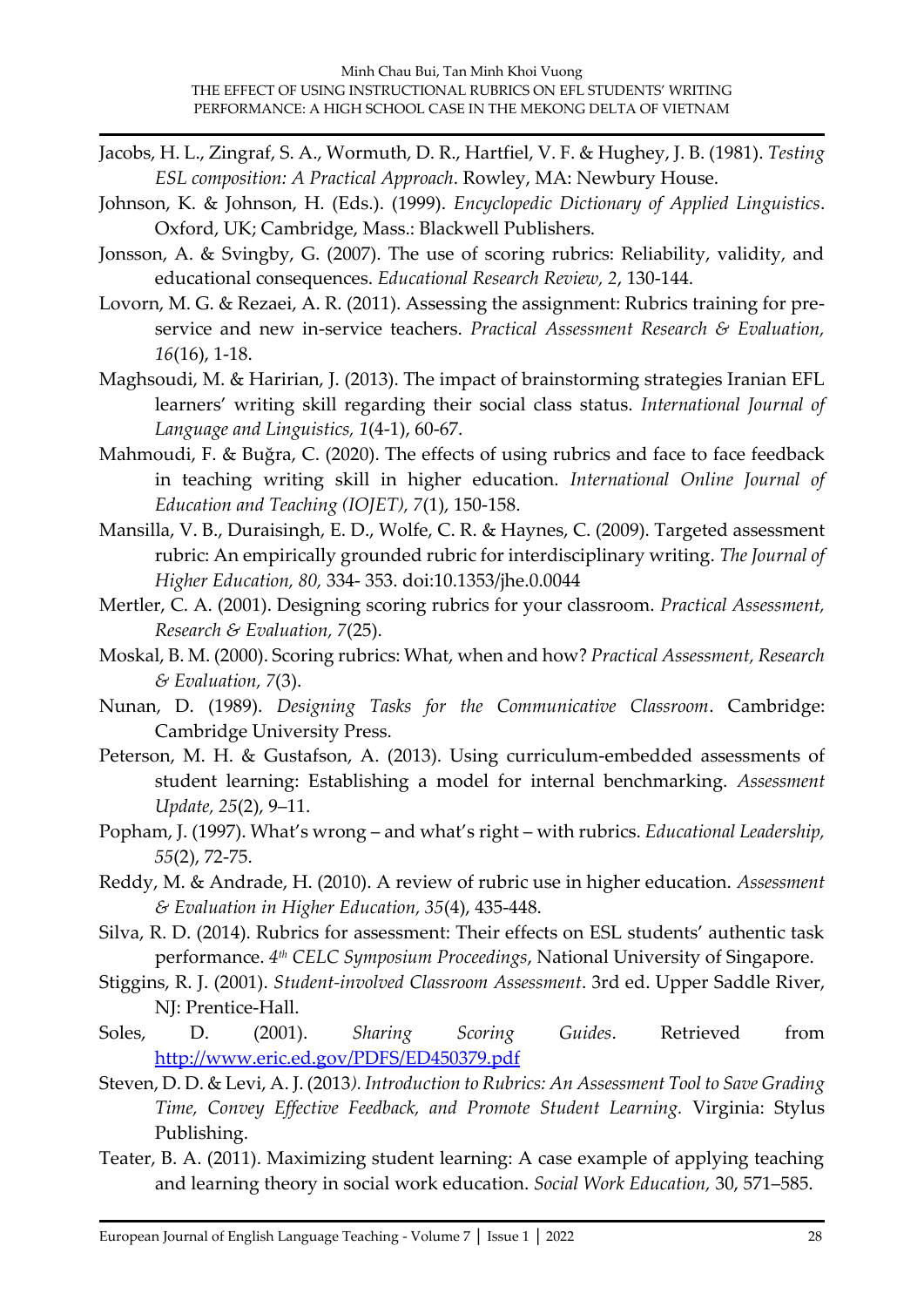- Jacobs, H. L., Zingraf, S. A., Wormuth, D. R., Hartfiel, V. F. & Hughey, J. B. (1981). *Testing ESL composition: A Practical Approach*. Rowley, MA: Newbury House.
- Johnson, K. & Johnson, H. (Eds.). (1999). *Encyclopedic Dictionary of Applied Linguistics*. Oxford, UK; Cambridge, Mass.: Blackwell Publishers.
- Jonsson, A. & Svingby, G. (2007). The use of scoring rubrics: Reliability, validity, and educational consequences. *Educational Research Review, 2*, 130-144.
- Lovorn, M. G. & Rezaei, A. R. (2011). Assessing the assignment: Rubrics training for preservice and new in-service teachers. *Practical Assessment Research & Evaluation, 16*(16), 1-18.
- Maghsoudi, M. & Haririan, J. (2013). The impact of brainstorming strategies Iranian EFL learners' writing skill regarding their social class status. *International Journal of Language and Linguistics, 1*(4-1), 60-67.
- Mahmoudi, F. & Buğra, C. (2020). The effects of using rubrics and face to face feedback in teaching writing skill in higher education. *International Online Journal of Education and Teaching (IOJET), 7*(1), 150-158.
- Mansilla, V. B., Duraisingh, E. D., Wolfe, C. R. & Haynes, C. (2009). Targeted assessment rubric: An empirically grounded rubric for interdisciplinary writing. *The Journal of Higher Education, 80,* 334- 353. doi:10.1353/jhe.0.0044
- Mertler, C. A. (2001). Designing scoring rubrics for your classroom. *Practical Assessment, Research & Evaluation, 7*(25).
- Moskal, B. M. (2000). Scoring rubrics: What, when and how? *Practical Assessment, Research & Evaluation, 7*(3).
- Nunan, D. (1989). *Designing Tasks for the Communicative Classroom*. Cambridge: Cambridge University Press.
- Peterson, M. H. & Gustafson, A. (2013). Using curriculum-embedded assessments of student learning: Establishing a model for internal benchmarking. *Assessment Update, 25*(2), 9–11.
- Popham, J. (1997). What's wrong and what's right with rubrics. *Educational Leadership, 55*(2), 72-75.
- Reddy, M. & Andrade, H. (2010). A review of rubric use in higher education. *Assessment & Evaluation in Higher Education, 35*(4), 435-448.
- Silva, R. D. (2014). Rubrics for assessment: Their effects on ESL students' authentic task performance. *4 th CELC Symposium Proceedings*, National University of Singapore.
- Stiggins, R. J. (2001). *Student-involved Classroom Assessment*. 3rd ed. Upper Saddle River, NJ: Prentice-Hall.
- Soles, D. (2001). *Sharing Scoring Guides*. Retrieved from <http://www.eric.ed.gov/PDFS/ED450379.pdf>
- Steven, D. D. & Levi, A. J. (2013*). Introduction to Rubrics: An Assessment Tool to Save Grading Time, Convey Effective Feedback, and Promote Student Learning.* Virginia: Stylus Publishing.
- Teater, B. A. (2011). Maximizing student learning: A case example of applying teaching and learning theory in social work education. *Social Work Education,* 30, 571–585.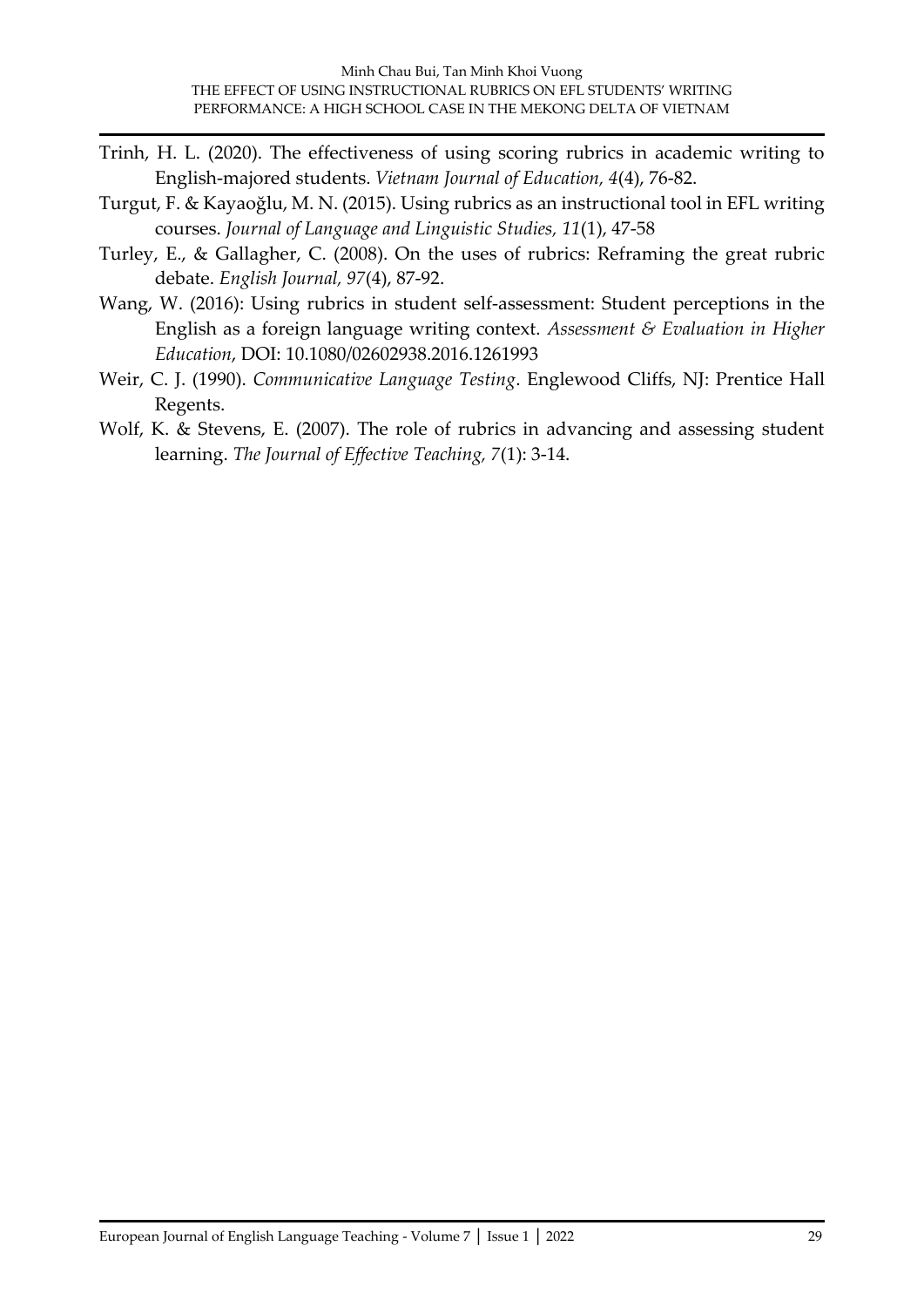- Trinh, H. L. (2020). The effectiveness of using scoring rubrics in academic writing to English-majored students. *Vietnam Journal of Education, 4*(4), 76-82.
- Turgut, F. & Kayaoğlu, M. N. (2015). Using rubrics as an instructional tool in EFL writing courses. *Journal of Language and Linguistic Studies, 11*(1), 47-58
- Turley, E., & Gallagher, C. (2008). On the uses of rubrics: Reframing the great rubric debate. *English Journal, 97*(4), 87-92.
- Wang, W. (2016): Using rubrics in student self-assessment: Student perceptions in the English as a foreign language writing context. *Assessment & Evaluation in Higher Education*, DOI: 10.1080/02602938.2016.1261993
- Weir, C. J. (1990). *Communicative Language Testing*. Englewood Cliffs, NJ: Prentice Hall Regents.
- Wolf, K. & Stevens, E. (2007). The role of rubrics in advancing and assessing student learning. *The Journal of Effective Teaching, 7*(1): 3-14.